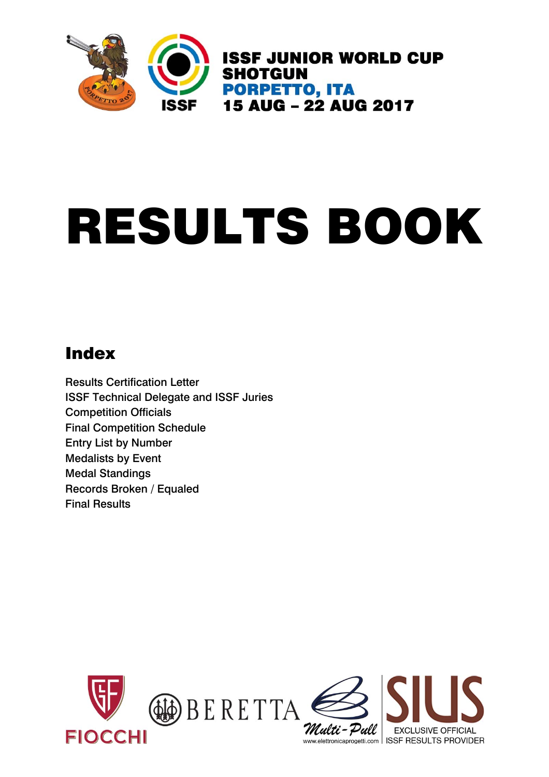

# RESULTS BOOK

## Index

Results Certification Letter ISSF Technical Delegate and ISSF Juries Competition Officials Final Competition Schedule Entry List by Number Medalists by Event Medal Standings Records Broken / Equaled Final Results

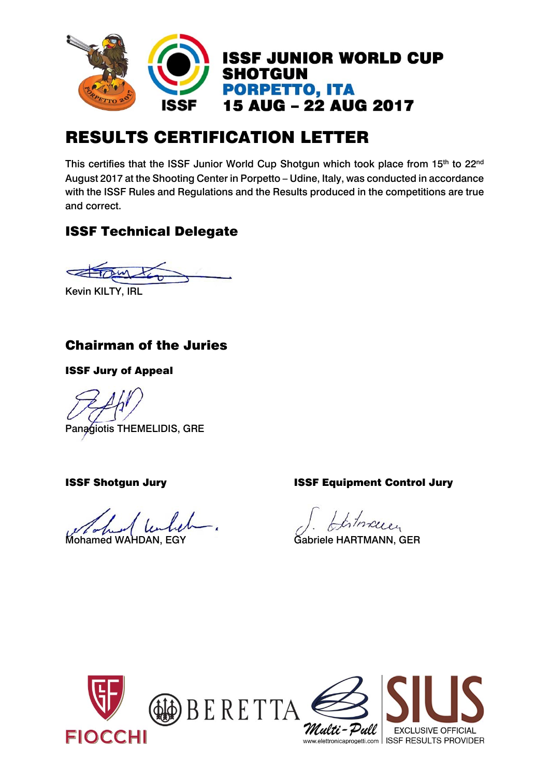

## RESULTS CERTIFICATION LETTER

This certifies that the ISSF Junior World Cup Shotgun which took place from 15<sup>th</sup> to 22<sup>nd</sup> August 2017 at the Shooting Center in Porpetto – Udine, Italy, was conducted in accordance with the ISSF Rules and Regulations and the Results produced in the competitions are true and correct.

#### ISSF Technical Delegate

Kevin KILTY, IRL

#### Chairman of the Juries

ISSF Jury of Appeal

Panagiotis THEMELIDIS, GRE

ISSF Shotgun Jury ISSF Equipment Control Jury

Mohamed WAHDAN, EGY **Gabriele HARTMANN, GER** 

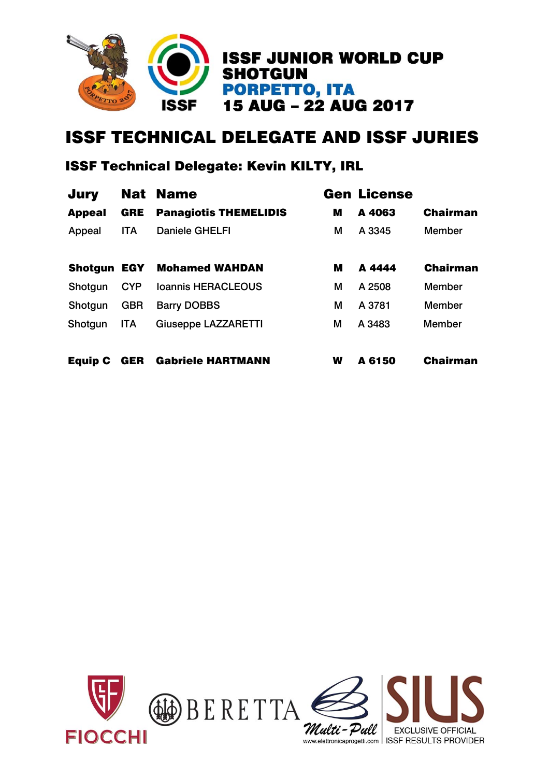

## ISSF TECHNICAL DELEGATE AND ISSF JURIES

#### ISSF Technical Delegate: Kevin KILTY, IRL

| <b>Jury</b>    |            | <b>Nat Name</b>              |   | <b>Gen License</b> |                 |
|----------------|------------|------------------------------|---|--------------------|-----------------|
| <b>Appeal</b>  | <b>GRE</b> | <b>Panagiotis THEMELIDIS</b> | M | A 4063             | <b>Chairman</b> |
| Appeal         | <b>ITA</b> | <b>Daniele GHELFI</b>        | М | A 3345             | <b>Member</b>   |
| <b>Shotgun</b> | EGY        | <b>Mohamed WAHDAN</b>        | М | A 4444             | <b>Chairman</b> |
| Shotgun        | <b>CYP</b> | <b>Ioannis HERACLEOUS</b>    | М | A 2508             | <b>Member</b>   |
| Shotgun        | <b>GBR</b> | <b>Barry DOBBS</b>           | М | A 3781             | <b>Member</b>   |
| Shotgun        | <b>ITA</b> | <b>Giuseppe LAZZARETTI</b>   | М | A 3483             | <b>Member</b>   |
| <b>Equip C</b> | <b>GER</b> | <b>Gabriele HARTMANN</b>     | W | A 6150             | <b>Chairman</b> |

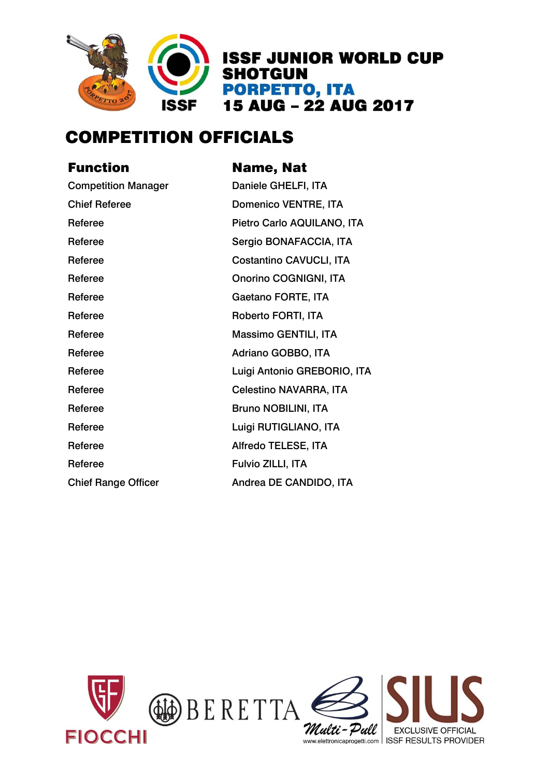

## COMPETITION OFFICIALS

| Name, Nat                      |
|--------------------------------|
| Daniele GHELFI, ITA            |
| <b>Domenico VENTRE, ITA</b>    |
| Pietro Carlo AQUILANO, ITA     |
| Sergio BONAFACCIA, ITA         |
| <b>Costantino CAVUCLI, ITA</b> |
| <b>Onorino COGNIGNI, ITA</b>   |
| Gaetano FORTE, ITA             |
| Roberto FORTI, ITA             |
| Massimo GENTILI, ITA           |
| Adriano GOBBO, ITA             |
| Luigi Antonio GREBORIO, ITA    |
| <b>Celestino NAVARRA, ITA</b>  |
| <b>Bruno NOBILINI, ITA</b>     |
| Luigi RUTIGLIANO, ITA          |
| Alfredo TELESE, ITA            |
| Fulvio ZILLI, ITA              |
| Andrea DE CANDIDO, ITA         |
|                                |

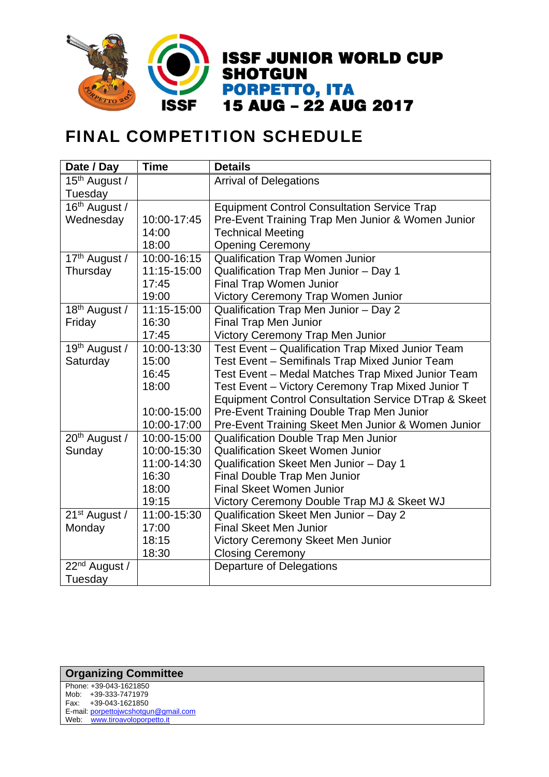

## FINAL COMPETITION SCHEDULE

| Date / Day                | <b>Time</b> | <b>Details</b>                                                  |
|---------------------------|-------------|-----------------------------------------------------------------|
| 15 <sup>th</sup> August / |             | <b>Arrival of Delegations</b>                                   |
| Tuesday                   |             |                                                                 |
| 16th August /             |             | <b>Equipment Control Consultation Service Trap</b>              |
| Wednesday                 | 10:00-17:45 | Pre-Event Training Trap Men Junior & Women Junior               |
|                           | 14:00       | <b>Technical Meeting</b>                                        |
|                           | 18:00       | <b>Opening Ceremony</b>                                         |
| 17th August /             | 10:00-16:15 | <b>Qualification Trap Women Junior</b>                          |
| Thursday                  | 11:15-15:00 | Qualification Trap Men Junior - Day 1                           |
|                           | 17:45       | Final Trap Women Junior                                         |
|                           | 19:00       | Victory Ceremony Trap Women Junior                              |
| 18 <sup>th</sup> August / | 11:15-15:00 | Qualification Trap Men Junior - Day 2                           |
| Friday                    | 16:30       | <b>Final Trap Men Junior</b>                                    |
|                           | 17:45       | Victory Ceremony Trap Men Junior                                |
| 19th August /             | 10:00-13:30 | Test Event - Qualification Trap Mixed Junior Team               |
| Saturday                  | 15:00       | Test Event - Semifinals Trap Mixed Junior Team                  |
|                           | 16:45       | Test Event - Medal Matches Trap Mixed Junior Team               |
|                           | 18:00       | Test Event - Victory Ceremony Trap Mixed Junior T               |
|                           |             | <b>Equipment Control Consultation Service DTrap &amp; Skeet</b> |
|                           | 10:00-15:00 | Pre-Event Training Double Trap Men Junior                       |
|                           | 10:00-17:00 | Pre-Event Training Skeet Men Junior & Women Junior              |
| 20 <sup>th</sup> August / | 10:00-15:00 | Qualification Double Trap Men Junior                            |
| Sunday                    | 10:00-15:30 | <b>Qualification Skeet Women Junior</b>                         |
|                           | 11:00-14:30 | Qualification Skeet Men Junior - Day 1                          |
|                           | 16:30       | Final Double Trap Men Junior                                    |
|                           | 18:00       | <b>Final Skeet Women Junior</b>                                 |
|                           | 19:15       | Victory Ceremony Double Trap MJ & Skeet WJ                      |
| 21 <sup>st</sup> August / | 11:00-15:30 | Qualification Skeet Men Junior - Day 2                          |
| Monday                    | 17:00       | <b>Final Skeet Men Junior</b>                                   |
|                           | 18:15       | Victory Ceremony Skeet Men Junior                               |
|                           | 18:30       | <b>Closing Ceremony</b>                                         |
| 22 <sup>nd</sup> August / |             | <b>Departure of Delegations</b>                                 |
| Tuesday                   |             |                                                                 |

#### **Organizing Committee**

| Phone: +39-043-1621850               |
|--------------------------------------|
| Mob: +39-333-7471979                 |
| Fax: +39-043-1621850                 |
| E-mail: porpettojwcshotgun@gmail.com |
| Web: www.tiroavoloporpetto.it        |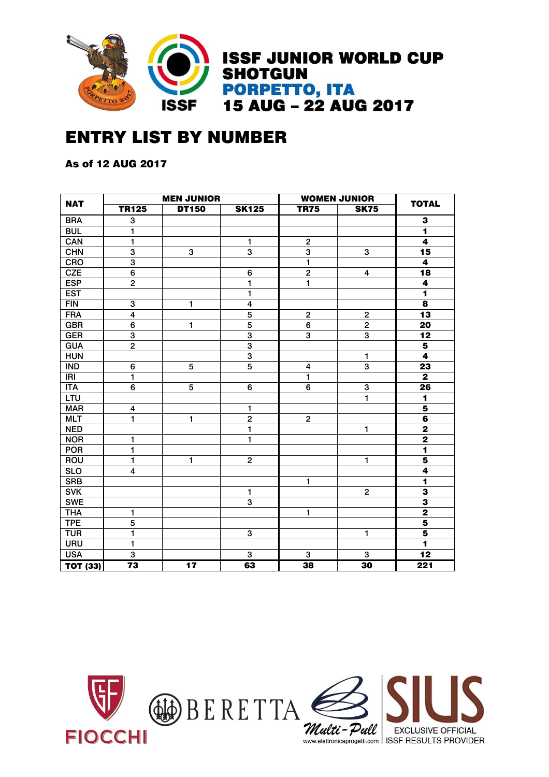

## ENTRY LIST BY NUMBER

As of 12 AUG 2017

| <b>NAT</b>              |                         | <b>MEN JUNIOR</b> |                         |                         | <b>WOMEN JUNIOR</b>     |                         |  |  |  |
|-------------------------|-------------------------|-------------------|-------------------------|-------------------------|-------------------------|-------------------------|--|--|--|
|                         | <b>TR125</b>            | <b>DT150</b>      | <b>SK125</b>            | <b>TR75</b>             | <b>SK75</b>             | <b>TOTAL</b>            |  |  |  |
| <b>BRA</b>              | 3                       |                   |                         |                         |                         | 3                       |  |  |  |
| <b>BUL</b>              | 1                       |                   |                         |                         | $\blacksquare$          |                         |  |  |  |
| CAN                     | 1                       |                   | 1                       | $\overline{\mathbf{c}}$ | $\overline{\mathbf{4}}$ |                         |  |  |  |
| <b>CHN</b>              | 3                       | 3                 | 3                       | $\overline{\mathbf{3}}$ | 3                       | 15                      |  |  |  |
| <b>CRO</b>              | $\overline{3}$          |                   |                         | $\mathbf{1}$            |                         | 4                       |  |  |  |
| CZE                     | $\overline{6}$          |                   | 6                       | $\overline{2}$          | 4                       | $\overline{18}$         |  |  |  |
| <b>ESP</b>              | $\overline{\mathbf{c}}$ |                   | 1                       | $\mathbf{1}$            |                         | 4                       |  |  |  |
| <b>EST</b>              |                         |                   | 1                       |                         |                         | $\overline{\mathbf{1}}$ |  |  |  |
| FIN                     | 3                       | 1                 | $\overline{\mathbf{4}}$ |                         |                         | $\overline{\mathbf{8}}$ |  |  |  |
| <b>FRA</b>              | 4                       |                   | $\overline{5}$          | $\mathbf 2$             | $\mathbf 2$             | $\overline{13}$         |  |  |  |
| <b>GBR</b>              | 6                       | $\mathbf{1}$      | $\overline{5}$          | 6                       | $\overline{2}$          | 20                      |  |  |  |
| <b>GER</b>              | $\overline{3}$          |                   | $\overline{3}$          | $\overline{3}$          | $\overline{3}$          | $\overline{12}$         |  |  |  |
| <b>GUA</b>              | $\overline{2}$          |                   | $\overline{3}$          |                         |                         | $\overline{\mathbf{5}}$ |  |  |  |
| <b>HUN</b>              |                         |                   | 3                       |                         | $\mathbf{1}$            | $\ddot{\mathbf{4}}$     |  |  |  |
| <b>IND</b>              | 6                       | 5                 | $\overline{5}$          | 4                       | $\overline{3}$          | $\overline{23}$         |  |  |  |
| IRI                     | 1                       |                   |                         | 1                       |                         | $\mathbf{2}$            |  |  |  |
| <b>ITA</b>              | 6                       | 5                 | 6                       | 6                       | $\mathbf 3$             | 26                      |  |  |  |
| LTU                     |                         |                   |                         |                         | 1                       | 1                       |  |  |  |
| <b>MAR</b>              | 4                       |                   | 1                       |                         |                         | $\overline{\mathbf{5}}$ |  |  |  |
| <b>MLT</b>              | 1                       | 1                 | $\mathbf 2$             | $\overline{\mathbf{c}}$ |                         | $\overline{\mathbf{6}}$ |  |  |  |
| <b>NED</b>              |                         |                   | 1                       |                         | 1                       | $\overline{\mathbf{2}}$ |  |  |  |
| <b>NOR</b>              | 1                       |                   | 1                       |                         |                         | $\overline{\mathbf{2}}$ |  |  |  |
| <b>POR</b>              | 1                       |                   |                         |                         |                         | $\overline{\mathbf{1}}$ |  |  |  |
| ROU                     | $\mathbf{1}$            | $\mathbf{1}$      | $\mathbf 2$             |                         | 1                       | $\overline{\mathbf{5}}$ |  |  |  |
| $\overline{\text{SLO}}$ | 4                       |                   |                         |                         |                         | $\overline{4}$          |  |  |  |
| <b>SRB</b>              |                         |                   |                         | 1                       |                         | $\overline{\mathbf{1}}$ |  |  |  |
| <b>SVK</b>              |                         |                   | 1                       |                         | $\mathbf 2$             | $\overline{\mathbf{3}}$ |  |  |  |
| <b>SWE</b>              |                         |                   | 3                       |                         |                         | $\overline{\mathbf{3}}$ |  |  |  |
| <b>THA</b>              | 1                       |                   |                         | 1                       |                         | $\overline{\mathbf{2}}$ |  |  |  |
| <b>TPE</b>              | 5                       |                   |                         |                         |                         | $\overline{\mathbf{5}}$ |  |  |  |
| <b>TUR</b>              | $\mathbf{1}$            |                   | 3                       |                         | 1                       | $\overline{\mathbf{5}}$ |  |  |  |
| <b>URU</b>              | 1                       |                   |                         |                         |                         | $\overline{\mathbf{1}}$ |  |  |  |
| <b>USA</b>              | $\overline{3}$          |                   | $\overline{3}$          | $\mathbf{3}$            | $\mathbf 3$             | $\overline{12}$         |  |  |  |
| <b>TOT (33)</b>         | $\overline{73}$         | 17                | 63                      | 38                      | 30                      | 221                     |  |  |  |

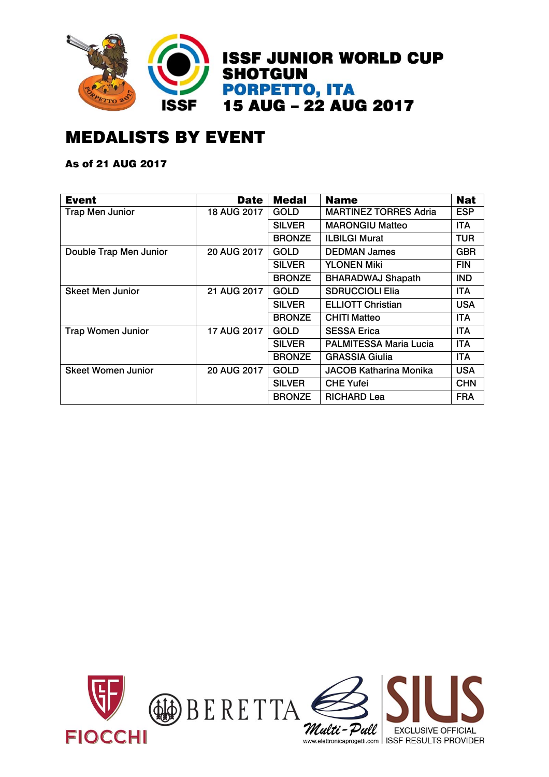

## MEDALISTS BY EVENT

#### As of 21 AUG 2017

| <b>Event</b>              | <b>Date</b> | <b>Medal</b>  | <b>Name</b>                   | <b>Nat</b> |
|---------------------------|-------------|---------------|-------------------------------|------------|
| <b>Trap Men Junior</b>    | 18 AUG 2017 | <b>GOLD</b>   | <b>MARTINEZ TORRES Adria</b>  | <b>ESP</b> |
|                           |             | <b>SILVER</b> | <b>MARONGIU Matteo</b>        | <b>ITA</b> |
|                           |             | <b>BRONZE</b> | <b>ILBILGI Murat</b>          | <b>TUR</b> |
| Double Trap Men Junior    | 20 AUG 2017 | <b>GOLD</b>   | <b>DEDMAN James</b>           | <b>GBR</b> |
|                           |             | <b>SILVER</b> | <b>YLONEN Miki</b>            | <b>FIN</b> |
|                           |             | <b>BRONZE</b> | <b>BHARADWAJ Shapath</b>      | <b>IND</b> |
| <b>Skeet Men Junior</b>   | 21 AUG 2017 | <b>GOLD</b>   | <b>SDRUCCIOLI Elia</b>        | <b>ITA</b> |
|                           |             | <b>SILVER</b> | <b>ELLIOTT Christian</b>      | <b>USA</b> |
|                           |             | <b>BRONZE</b> | <b>CHITI Matteo</b>           | <b>ITA</b> |
| <b>Trap Women Junior</b>  | 17 AUG 2017 | <b>GOLD</b>   | <b>SESSA Erica</b>            | <b>ITA</b> |
|                           |             | <b>SILVER</b> | <b>PALMITESSA Maria Lucia</b> | <b>ITA</b> |
|                           |             | <b>BRONZE</b> | <b>GRASSIA Giulia</b>         | <b>ITA</b> |
| <b>Skeet Women Junior</b> | 20 AUG 2017 | <b>GOLD</b>   | JACOB Katharina Monika        | <b>USA</b> |
|                           |             | <b>SILVER</b> | <b>CHE Yufei</b>              | <b>CHN</b> |
|                           |             | <b>BRONZE</b> | <b>RICHARD Lea</b>            | <b>FRA</b> |

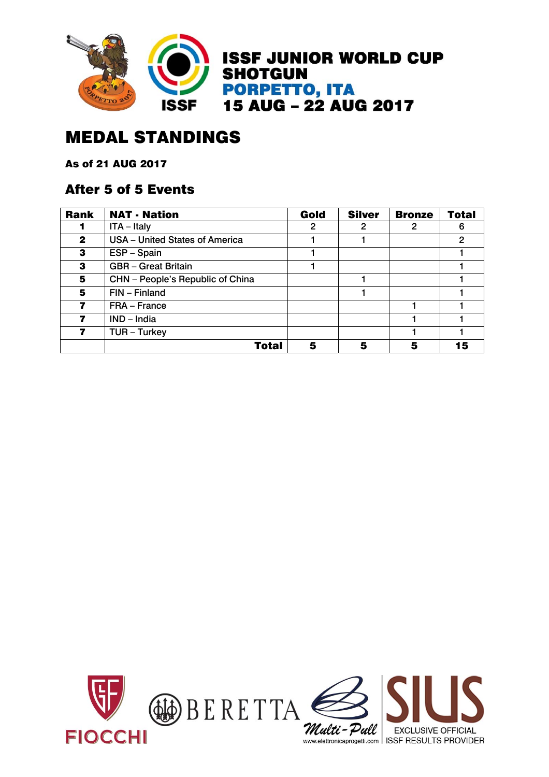

## MEDAL STANDINGS

As of 21 AUG 2017

#### After 5 of 5 Events

| <b>Rank</b>  | <b>NAT - Nation</b>              | Gold | <b>Silver</b> | <b>Bronze</b> | <b>Total</b> |
|--------------|----------------------------------|------|---------------|---------------|--------------|
|              | $ITA - Italy$                    | 2    | 2             | 2             | 6            |
| $\mathbf{2}$ | USA - United States of America   |      |               |               | 2            |
| 3            | ESP - Spain                      |      |               |               |              |
| 3            | <b>GBR</b> - Great Britain       |      |               |               |              |
| 5            | CHN - People's Republic of China |      |               |               |              |
| 5            | FIN - Finland                    |      |               |               |              |
|              | FRA - France                     |      |               |               |              |
|              | $IND$ – India                    |      |               |               |              |
|              | TUR - Turkey                     |      |               |               |              |
|              | <b>Total</b>                     | 5    |               | 5             |              |

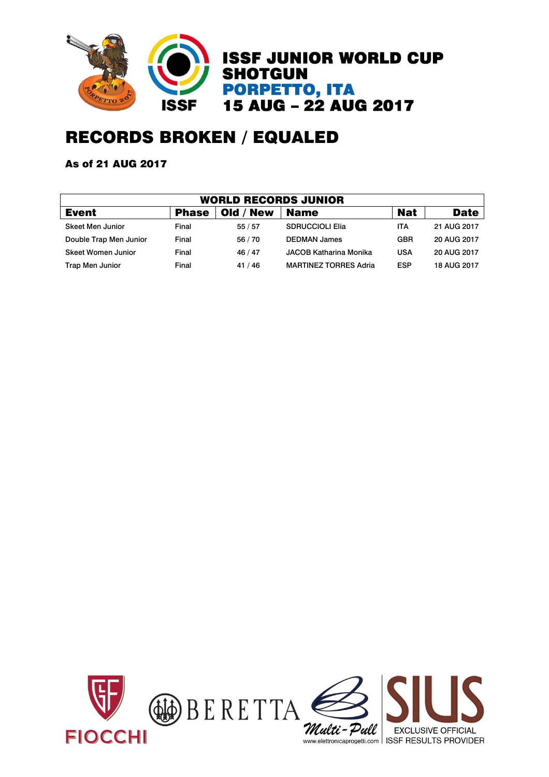

## RECORDS BROKEN / EQUALED

#### As of 21 AUG 2017

| WORLD RECORDS JUNIOR   |              |           |                              |            |             |  |  |  |  |  |
|------------------------|--------------|-----------|------------------------------|------------|-------------|--|--|--|--|--|
| <b>Event</b>           | <b>Phase</b> | Old / New | <b>Name</b>                  | <b>Nat</b> | <b>Date</b> |  |  |  |  |  |
| Skeet Men Junior       | Final        | 55/57     | <b>SDRUCCIOLI Elia</b>       | ITA        | 21 AUG 2017 |  |  |  |  |  |
| Double Trap Men Junior | Final        | 56 / 70   | <b>DEDMAN James</b>          | <b>GBR</b> | 20 AUG 2017 |  |  |  |  |  |
| Skeet Women Junior     | Final        | 46/47     | JACOB Katharina Monika       | <b>USA</b> | 20 AUG 2017 |  |  |  |  |  |
| <b>Trap Men Junior</b> | Final        | 41/46     | <b>MARTINEZ TORRES Adria</b> | <b>ESP</b> | 18 AUG 2017 |  |  |  |  |  |

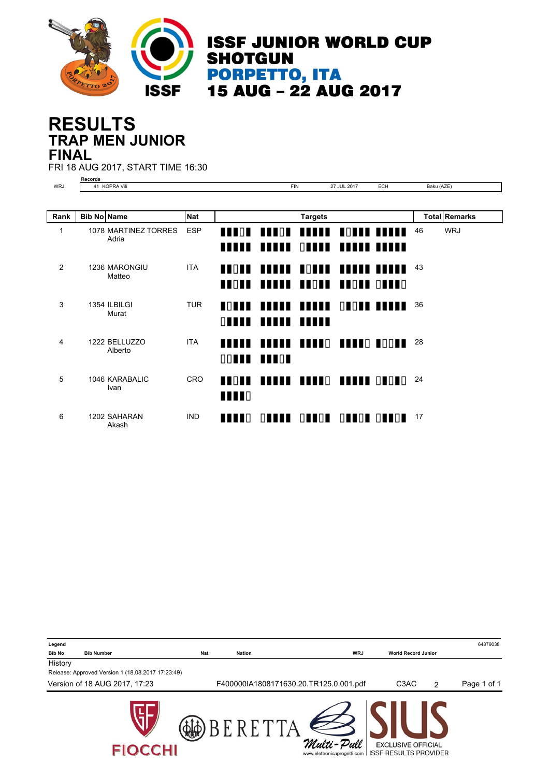

**ISSF JUNIOR WORLD CUP SHOTGUN PORPETTO, ITA<br>15 AUG - 22 AUG 2017** 

### **TRAP MEN JUNIOR RESULTS FINAL**

FRI 18 AUG 2017, START TIME 16:30

|              | <b>Records</b>                |            |                              |                      |                                         |                  |                   |            |                      |
|--------------|-------------------------------|------------|------------------------------|----------------------|-----------------------------------------|------------------|-------------------|------------|----------------------|
| <b>WRJ</b>   | 41 KOPRA Vili                 |            |                              | <b>FIN</b>           |                                         | 27 JUL 2017      | <b>ECH</b>        | Baku (AZE) |                      |
|              |                               |            |                              |                      |                                         |                  |                   |            |                      |
| Rank         | <b>Bib No Name</b>            | <b>Nat</b> |                              |                      | <b>Targets</b>                          |                  |                   |            | <b>Total Remarks</b> |
| $\mathbf{1}$ | 1078 MARTINEZ TORRES<br>Adria | <b>ESP</b> | <b>THEFT</b><br>IIII         | $\blacksquare$<br>ши | ,,,,,,<br>$\Box$                        | <b>HIII HIII</b> | <b>MATH THEFT</b> | 46         | <b>WRJ</b>           |
| 2            | 1236 MARONGIU<br>Matteo       | <b>ITA</b> | <b>TTOTT</b><br><b>THOTH</b> |                      | TOT TI<br><b>THEFF FROM BROKE ORDER</b> |                  |                   | 43         |                      |
| 3            | 1354 ILBILGI<br>Murat         | <b>TUR</b> | <b>ANTILE</b><br>$\Box$      |                      | <b>TITLE TITLE</b><br>,,,,,,            |                  | <u>NINI IIIII</u> | 36         |                      |
| 4            | 1222 BELLUZZO<br>Alberto      | <b>ITA</b> | ,,,,,                        | 00 I II III OF       | TITTE TITTE TETTE TOOTE                 |                  |                   | 28         |                      |
| 5            | 1046 KARABALIC<br>Ivan        | <b>CRO</b> | <b>THEFT</b><br><b>THEFT</b> |                      | FRAME READY BRAND GROUG                 |                  |                   | 24         |                      |
| 6            | 1202 SAHARAN<br>Akash         | <b>IND</b> | <b>TTTT</b> O                |                      | ONNIN ONNON ONNON ONNON                 |                  |                   | 17         |                      |

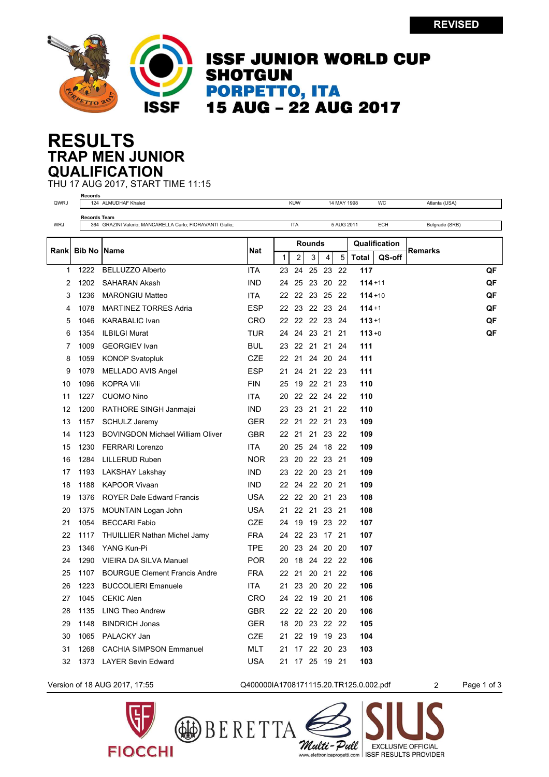

## **ISSF JUNIOR WORLD CUP SHOTGUN PORPETTO, ITA<br>15 AUG - 22 AUG 2017**

#### **TRAP MEN JUNIOR RESULTS QUALIFICATION**

**Records**

THU 17 AUG 2017, START TIME 11:15

| QWRJ       |                     | 124 ALMUDHAF Khaled                                       |            |              | <b>KUW</b>     |        |             | 14 MAY 1998 |              | <b>WC</b>     | Atlanta (USA)  |    |
|------------|---------------------|-----------------------------------------------------------|------------|--------------|----------------|--------|-------------|-------------|--------------|---------------|----------------|----|
|            | <b>Records Team</b> |                                                           |            |              |                |        |             |             |              |               |                |    |
| <b>WRJ</b> |                     | 364 GRAZINI Valerio; MANCARELLA Carlo; FIORAVANTI Giulio; |            |              | <b>ITA</b>     |        |             | 5 AUG 2011  |              | <b>ECH</b>    | Belgrade (SRB) |    |
|            |                     |                                                           |            |              |                | Rounds |             |             |              | Qualification |                |    |
| Rank       | Bib No              | <b>Name</b>                                               | Nat        | $\mathbf{1}$ | 2              | 3      | 4           | 5           | <b>Total</b> | QS-off        | Remarks        |    |
| 1          | 1222                | <b>BELLUZZO Alberto</b>                                   | <b>ITA</b> | 23           | 24             | 25     | 23          | 22          | 117          |               |                | QF |
| 2          | 1202                | <b>SAHARAN Akash</b>                                      | <b>IND</b> | 24           | 25             |        | 23 20       | 22          | $114 + 11$   |               |                | QF |
| 3          | 1236                | <b>MARONGIU Matteo</b>                                    | <b>ITA</b> | 22           | 22             |        | 23 25       | - 22        | $114 + 10$   |               |                | QF |
| 4          | 1078                | <b>MARTINEZ TORRES Adria</b>                              | <b>ESP</b> | 22           | 23             |        | 22 23 24    |             | $114 + 1$    |               |                | QF |
| 5          | 1046                | <b>KARABALIC Ivan</b>                                     | <b>CRO</b> | 22           | 22             |        | 22 23 24    |             | $113 + 1$    |               |                | QF |
| 6          | 1354                | <b>ILBILGI Murat</b>                                      | TUR        | 24           | 24             |        | 23 21 21    |             | $113 + 0$    |               |                | QF |
| 7          | 1009                | <b>GEORGIEV</b> Ivan                                      | BUL        | 23           | 22             |        | 21 21       | 24          | 111          |               |                |    |
| 8          | 1059                | <b>KONOP Svatopluk</b>                                    | <b>CZE</b> |              | 22 21          |        | 24 20 24    |             | 111          |               |                |    |
| 9          | 1079                | MELLADO AVIS Angel                                        | <b>ESP</b> | 21           | 24             |        | 21 22 23    |             | 111          |               |                |    |
| 10         | 1096                | <b>KOPRA Vili</b>                                         | <b>FIN</b> | 25           | 19             |        | 22 21       | 23          | 110          |               |                |    |
| 11         | 1227                | <b>CUOMO Nino</b>                                         | <b>ITA</b> | 20           | 22             | 22 24  |             | 22          | 110          |               |                |    |
| 12         | 1200                | RATHORE SINGH Janmajai                                    | <b>IND</b> | 23           | 23             |        | 21 21       | 22          | 110          |               |                |    |
| 13         | 1157                | <b>SCHULZ Jeremy</b>                                      | <b>GER</b> | 22           | 21             |        | 22 21       | 23          | 109          |               |                |    |
| 14         | 1123                | <b>BOVINGDON Michael William Oliver</b>                   | <b>GBR</b> |              | 22 21          |        | 21 23 22    |             | 109          |               |                |    |
| 15         | 1230                | <b>FERRARI Lorenzo</b>                                    | <b>ITA</b> | 20           |                |        | 25 24 18 22 |             | 109          |               |                |    |
| 16         | 1284                | <b>LILLERUD Ruben</b>                                     | <b>NOR</b> | 23           | 20             |        | 22 23 21    |             | 109          |               |                |    |
| 17         | 1193                | LAKSHAY Lakshay                                           | <b>IND</b> | 23           |                |        | 22 20 23 21 |             | 109          |               |                |    |
| 18         | 1188                | <b>KAPOOR Vivaan</b>                                      | <b>IND</b> |              | 22 24 22 20 21 |        |             |             | 109          |               |                |    |
| 19         | 1376                | <b>ROYER Dale Edward Francis</b>                          | <b>USA</b> |              | 22 22 20 21 23 |        |             |             | 108          |               |                |    |
| 20         | 1375                | MOUNTAIN Logan John                                       | <b>USA</b> | 21           |                |        | 22 21 23 21 |             | 108          |               |                |    |
| 21         | 1054                | <b>BECCARI Fabio</b>                                      | CZE        | 24           | 19             |        | 19 23 22    |             | 107          |               |                |    |
| 22         | 1117                | <b>THUILLIER Nathan Michel Jamy</b>                       | <b>FRA</b> | 24           | 22 23 17 21    |        |             |             | 107          |               |                |    |
| 23         | 1346                | YANG Kun-Pi                                               | <b>TPE</b> | 20           | 23             |        | 24 20 20    |             | 107          |               |                |    |
| 24         | 1290                | VIEIRA DA SILVA Manuel                                    | <b>POR</b> | 20           | 18             |        | 24 22 22    |             | 106          |               |                |    |
| 25         | 1107                | <b>BOURGUE Clement Francis Andre</b>                      | <b>FRA</b> |              | 22 21          |        | 20 21 22    |             | 106          |               |                |    |
| 26         | 1223                | <b>BUCCOLIERI Emanuele</b>                                | ITA.       | 21           | 23             |        | 20 20 22    |             | 106          |               |                |    |
| 27         | 1045                | <b>CEKIC Alen</b>                                         | CRO        | 24           |                |        | 22 19 20 21 |             | 106          |               |                |    |
| 28         | 1135                | <b>LING Theo Andrew</b>                                   | GBR        |              | 22 22 22 20 20 |        |             |             | 106          |               |                |    |
| 29         | 1148                | <b>BINDRICH Jonas</b>                                     | <b>GER</b> |              | 18 20 23 22 22 |        |             |             | 105          |               |                |    |
| 30         | 1065                | PALACKY Jan                                               | <b>CZE</b> | 21           |                |        | 22 19 19 23 |             | 104          |               |                |    |
| 31         | 1268                | <b>CACHIA SIMPSON Emmanuel</b>                            | MLT        | 21           | 17             |        | 22 20       | -23         | 103          |               |                |    |
| 32         | 1373                | <b>LAYER Sevin Edward</b>                                 | <b>USA</b> | 21           |                |        | 17 25 19 21 |             | 103          |               |                |    |
|            |                     |                                                           |            |              |                |        |             |             |              |               |                |    |



Version of 18 AUG 2017, 17:55 Q400000IA1708171115.20.TR125.0.002.pdf 2 Page 1 of 3

Multi-Pull

**EXCLUSIVE OFFICIAL** 

www.elettronicaprogetti.com | ISSF RESULTS PROVIDER

BERETTA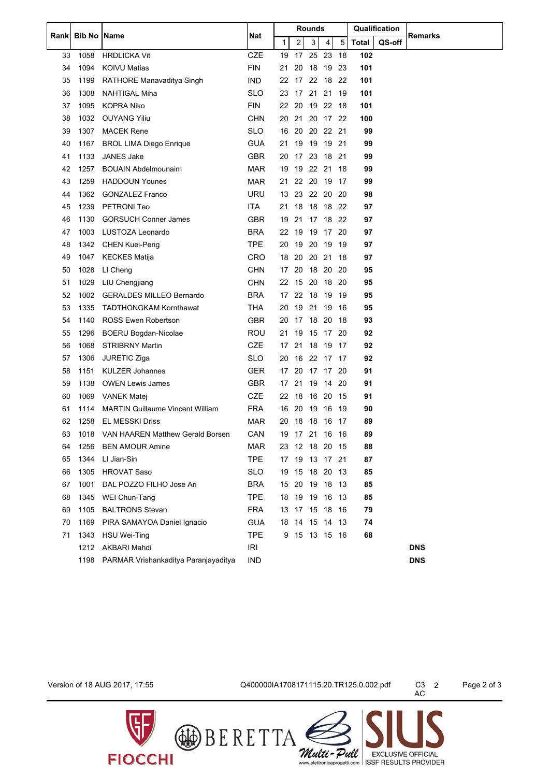|      |               |                                         | <b>Rounds</b> |       |                |          | Qualification  |     |              |        |                |
|------|---------------|-----------------------------------------|---------------|-------|----------------|----------|----------------|-----|--------------|--------|----------------|
| Rank | <b>Bib No</b> | <b>Name</b>                             | Nat           | 1     | $\overline{2}$ | 3        | 4              | 5   | <b>Total</b> | QS-off | <b>Remarks</b> |
| 33   | 1058          | <b>HRDLICKA Vit</b>                     | <b>CZE</b>    | 19    | 17             | 25       | 23             | 18  | 102          |        |                |
| 34   | 1094          | <b>KOIVU Matias</b>                     | <b>FIN</b>    | 21    | 20             |          | 18 19 23       |     | 101          |        |                |
| 35   | 1199          | RATHORE Manavaditya Singh               | <b>IND</b>    | 22    | 17             |          | 22 18          | 22  | 101          |        |                |
| 36   | 1308          | NAHTIGAL Miha                           | SLO           | 23    | 17             | 21       | 21             | -19 | 101          |        |                |
| 37   | 1095          | <b>KOPRA Niko</b>                       | <b>FIN</b>    | 22 20 |                | 19 22    |                | -18 | 101          |        |                |
| 38   | 1032          | <b>OUYANG Yiliu</b>                     | CHN           | 20 21 |                |          | 20 17 22       |     | 100          |        |                |
| 39   | 1307          | <b>MACEK Rene</b>                       | <b>SLO</b>    | 16    | 20             |          | 20 22 21       |     | 99           |        |                |
| 40   | 1167          | <b>BROL LIMA Diego Enrique</b>          | <b>GUA</b>    | 21    | 19             |          | 19 19 21       |     | 99           |        |                |
| 41   | 1133          | JANES Jake                              | <b>GBR</b>    | 20    |                |          | 17 23 18 21    |     | 99           |        |                |
| 42   | 1257          | <b>BOUAIN Abdelmounaim</b>              | <b>MAR</b>    | 19    | 19             | 22 21    |                | 18  | 99           |        |                |
| 43   | 1259          | <b>HADDOUN Younes</b>                   | MAR           | 21    |                | 22 20 19 |                | -17 | 99           |        |                |
| 44   | 1362          | <b>GONZALEZ Franco</b>                  | <b>URU</b>    |       | 13 23          |          | 22 20 20       |     | 98           |        |                |
| 45   | 1239          | PETRONI Teo                             | ITA.          | 21    | 18             |          | 18 18 22       |     | 97           |        |                |
| 46   | 1130          | <b>GORSUCH Conner James</b>             | <b>GBR</b>    | 19    | 21             |          | 17 18 22       |     | 97           |        |                |
| 47   | 1003          | LUSTOZA Leonardo                        | <b>BRA</b>    | 22    | 19             | 19       | 17             | -20 | 97           |        |                |
| 48   | 1342          | <b>CHEN Kuei-Peng</b>                   | <b>TPE</b>    | 20    | 19             | 20 19    |                | -19 | 97           |        |                |
| 49   | 1047          | <b>KECKES Matija</b>                    | CRO           | 18    | 20             | 20       | 21             | 18  | 97           |        |                |
| 50   | 1028          | LI Cheng                                | <b>CHN</b>    | 17    | 20             | 18 20    |                | -20 | 95           |        |                |
| 51   | 1029          | LIU Chengjiang                          | <b>CHN</b>    | 22 15 |                |          | 20 18          | -20 | 95           |        |                |
| 52   | 1002          | <b>GERALDES MILLEO Bernardo</b>         | <b>BRA</b>    |       | 17 22          |          | 18 19 19       |     | 95           |        |                |
| 53   | 1335          | <b>TADTHONGKAM Kornthawat</b>           | THA           | 20    | 19             | 21 19    |                | 16  | 95           |        |                |
| 54   | 1140          | <b>ROSS Ewen Robertson</b>              | <b>GBR</b>    | 20    | 17             | 18       | 20             | 18  | 93           |        |                |
| 55   | 1296          | <b>BOERU Bogdan-Nicolae</b>             | ROU           | 21    | 19             |          | 15 17 20       |     | 92           |        |                |
| 56   | 1068          | <b>STRIBRNY Martin</b>                  | <b>CZE</b>    | 17    | 21             |          | 18 19          | 17  | 92           |        |                |
| 57   | 1306          | <b>JURETIC Ziga</b>                     | SLO           | 20    | 16             | 22 17    |                | -17 | 92           |        |                |
| 58   | 1151          | <b>KULZER Johannes</b>                  | <b>GER</b>    | 17    | 20             |          | 17 17 20       |     | 91           |        |                |
| 59   | 1138          | <b>OWEN Lewis James</b>                 | <b>GBR</b>    | 17    | 21             |          | 19 14 20       |     | 91           |        |                |
| 60   | 1069          | <b>VANEK Matej</b>                      | <b>CZE</b>    | 22    | 18             | 16 20    |                | -15 | 91           |        |                |
| 61   | 1114          | <b>MARTIN Guillaume Vincent William</b> | FRA           | 16 20 |                | 19 16    |                | 19  | 90           |        |                |
| 62   | 1258          | <b>EL MESSKI Driss</b>                  | <b>MAR</b>    |       |                |          | 20 18 18 16 17 |     | 89           |        |                |
| 63   |               | 1018 VAN HAAREN Matthew Gerald Borsen   | CAN           |       |                |          | 19 17 21 16 16 |     | 89           |        |                |
| 64   | 1256          | <b>BEN AMOUR Amine</b>                  | <b>MAR</b>    |       |                |          | 23 12 18 20 15 |     | 88           |        |                |
| 65   | 1344          | LI Jian-Sin                             | TPE           |       |                |          | 17 19 13 17 21 |     | 87           |        |                |
| 66   | 1305          | <b>HROVAT Saso</b>                      | <b>SLO</b>    |       |                |          | 19 15 18 20 13 |     | 85           |        |                |
| 67   | 1001          | DAL POZZO FILHO Jose Ari                | <b>BRA</b>    | 15    |                |          | 20 19 18 13    |     | 85           |        |                |
| 68   | 1345          | WEI Chun-Tang                           | TPE           |       |                |          | 18 19 19 16 13 |     | 85           |        |                |
| 69   | 1105          | <b>BALTRONS Stevan</b>                  | <b>FRA</b>    |       |                |          | 13 17 15 18 16 |     | 79           |        |                |
| 70   | 1169          | PIRA SAMAYOA Daniel Ignacio             | <b>GUA</b>    |       |                |          | 18 14 15 14 13 |     | 74           |        |                |
| 71   | 1343          | HSU Wei-Ting                            | <b>TPE</b>    |       |                |          | 9 15 13 15 16  |     | 68           |        |                |
|      |               | 1212 AKBARI Mahdi                       | IRI           |       |                |          |                |     |              |        | <b>DNS</b>     |
|      | 1198          | PARMAR Vrishankaditya Paranjayaditya    | <b>IND</b>    |       |                |          |                |     |              |        | <b>DNS</b>     |

**FIOCCHI** 

Version of 18 AUG 2017, 17:55 Q400000IA1708171115.20.TR125.0.002.pdf C3 2 Page 2 of 3

BERETTA

C3 2<br>AC

Wulti - Pull EXCLUSIVE OFFICIAL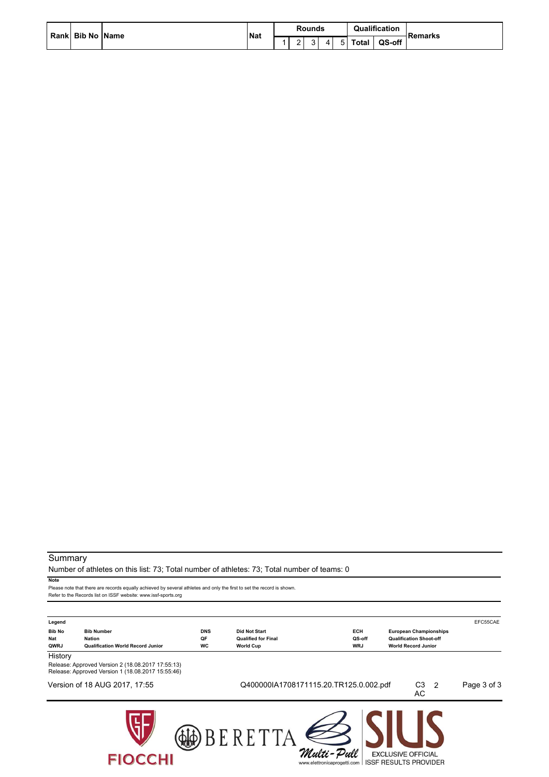| Rank Bib No Name |  |  | Nat | <b>Rounds</b> |             |  |   | Qualification | <b>Remarks</b> |
|------------------|--|--|-----|---------------|-------------|--|---|---------------|----------------|
|                  |  |  |     |               | $\sim$<br>- |  | 4 |               | Total          |

#### **Summary**

Number of athletes on this list: 73; Total number of athletes: 73; Total number of teams: 0

**Note**

Please note that there are records equally achieved by several athletes and only the first to set the record is shown. Refer to the Records list on ISSF website: www.issf-sports.org

| Legend<br><b>Bib No</b><br><b>Bib Number</b><br><b>Nat</b><br><b>Nation</b> |                                                                                                                                                    | <b>DNS</b><br>QF | <b>Did Not Start</b><br><b>Qualified for Final</b>  | <b>ECH</b><br>QS-off | <b>European Championships</b><br><b>Qualification Shoot-off</b> | EFC55CAE    |
|-----------------------------------------------------------------------------|----------------------------------------------------------------------------------------------------------------------------------------------------|------------------|-----------------------------------------------------|----------------------|-----------------------------------------------------------------|-------------|
| QWRJ<br>History                                                             | <b>Qualification World Record Junior</b><br>Release: Approved Version 2 (18.08.2017 17:55:13)<br>Release: Approved Version 1 (18.08.2017 15:55:46) | <b>WC</b>        | <b>World Cup</b>                                    | <b>WRJ</b>           | <b>World Record Junior</b>                                      |             |
|                                                                             | Version of 18 AUG 2017, 17:55                                                                                                                      |                  | Q400000IA1708171115.20.TR125.0.002.pdf              |                      | C3<br>$\overline{2}$<br>AC.                                     | Page 3 of 3 |
|                                                                             | <b>FIOCCHI</b>                                                                                                                                     |                  | BERETT<br>Multi-Pull<br>www.elettronicaprogetti.com |                      | <b>EXCLUSIVE OFFICIAL</b><br><b>ISSF RESULTS PROVIDER</b>       |             |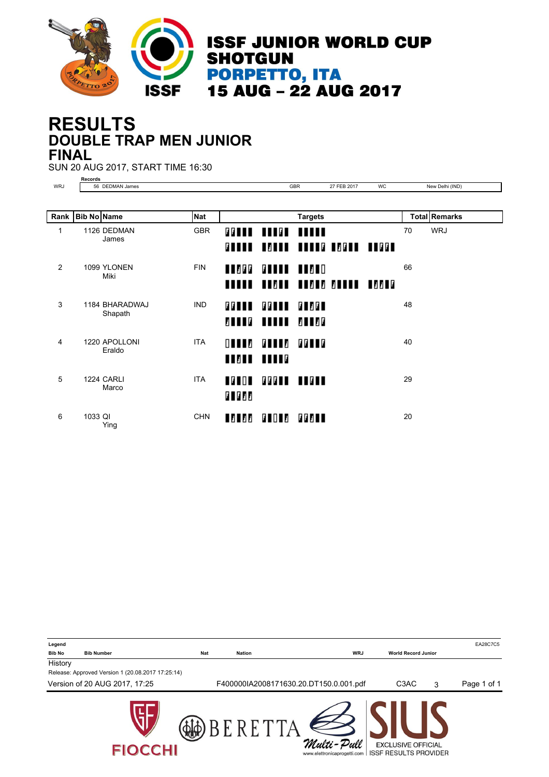

#### **DOUBLE TRAP MEN JUNIOR RESULTS FINAL**

SUN 20 AUG 2017, START TIME 16:30

**Records** WRJ 56 DEDMAN James GBR 27 FEB 2017 WC New Delhi (IND)

|   | Rank   Bib No Name |                            | <b>Nat</b> |                              |                                   | <b>Targets</b>                       |    | <b>Total Remarks</b> |
|---|--------------------|----------------------------|------------|------------------------------|-----------------------------------|--------------------------------------|----|----------------------|
| 1 |                    | 1126 DEDMAN<br>James       | <b>GBR</b> | <b>77888</b><br><b>FILLE</b> | <b>THEF THILL</b>                 | <b>BORDA BRADA BOGAR BRAGA</b>       | 70 | <b>WRJ</b>           |
| 2 |                    | 1099 YLONEN<br>Miki        | <b>FIN</b> | <b>ANDRE</b>                 | <b><i>BITTE THEFT</i></b>         | <b>NUNUA NUZUA NUZUZ ZANUN NZZUG</b> | 66 |                      |
| 3 |                    | 1184 BHARADWAJ<br>Shapath  | <b>IND</b> | <b>77111</b><br>8 I I I G    | <b>FFIII</b><br><b>TITLE 2002</b> | <b>FI 761</b>                        | 48 |                      |
| 4 |                    | 1220 APOLLONI<br>Eraldo    | <b>ITA</b> | $\Box$                       | <b>FILL</b><br><b>TIZIT TITLE</b> | <b><i>BBLLB</i></b>                  | 40 |                      |
| 5 |                    | <b>1224 CARLI</b><br>Marco | <b>ITA</b> | $\blacksquare$               | <b>CCCII IICII</b>                |                                      | 29 |                      |
| 6 | 1033 QI            | Ying                       | <b>CHN</b> | <b>LALAA</b>                 | <b>FIOLA</b>                      | 77711                                | 20 |                      |

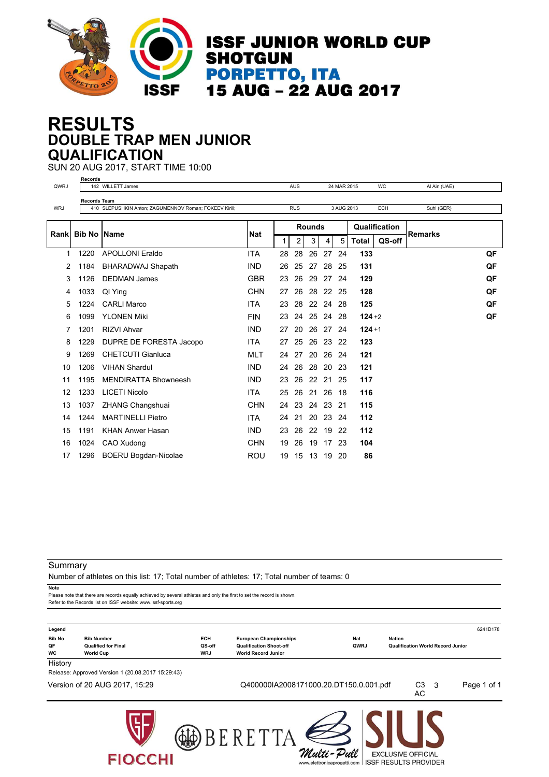

#### **DOUBLE TRAP MEN JUNIOR RESULTS QUALIFICATION**

SUN 20 AUG 2017, START TIME 10:00 **Records**

| QWRJ       |                     | 142 WILLETT James                                      |            |                | <b>AUS</b> |               |          | 24 MAR 2015 |              | <b>WC</b>     | Al Ain (UAE)   |    |
|------------|---------------------|--------------------------------------------------------|------------|----------------|------------|---------------|----------|-------------|--------------|---------------|----------------|----|
| <b>WRJ</b> | <b>Records Team</b> | 410 SLEPUSHKIN Anton: ZAGUMENNOV Roman: FOKEEV Kirill: |            |                | <b>RUS</b> |               |          | 3 AUG 2013  |              | <b>ECH</b>    | Suhl (GER)     |    |
|            |                     |                                                        |            |                |            |               |          |             |              |               |                |    |
|            | Rankl Bib No        | Name                                                   | <b>Nat</b> |                |            | <b>Rounds</b> |          |             |              | Qualification | <b>Remarks</b> |    |
|            |                     |                                                        |            | 1 <sup>1</sup> | 2          | 3             | 4        | 5           | <b>Total</b> | QS-off        |                |    |
| 1          | 1220                | <b>APOLLONI Eraldo</b>                                 | <b>ITA</b> | 28             | 28         | 26            | 27       | 24          | 133          |               |                | QF |
| 2          | 1184                | <b>BHARADWAJ Shapath</b>                               | <b>IND</b> | 26             | 25         | 27            | 28       | 25          | 131          |               |                | QF |
| 3          | 1126                | <b>DEDMAN James</b>                                    | <b>GBR</b> | 23             | 26         | 29            | 27 24    |             | 129          |               |                | QF |
| 4          | 1033                | QI Ying                                                | <b>CHN</b> | 27             | 26         |               | 28 22 25 |             | 128          |               |                | QF |
| 5          | 1224                | <b>CARLI Marco</b>                                     | <b>ITA</b> | 23             | 28         |               | 22 24    | 28          | 125          |               |                | QF |
| 6          | 1099                | <b>YLONEN Miki</b>                                     | <b>FIN</b> | 23             |            | 24 25 24 28   |          |             | $124 + 2$    |               |                | QF |
| 7          | 1201                | <b>RIZVI Ahvar</b>                                     | <b>IND</b> | 27             | 20         |               | 26 27 24 |             | $124 + 1$    |               |                |    |
| 8          | 1229                | DUPRE DE FORESTA Jacopo                                | <b>ITA</b> | 27             | 25         | 26 23 22      |          |             | 123          |               |                |    |
| 9          | 1269                | <b>CHETCUTI Gianluca</b>                               | MLT        | 24             | 27         | 20            | 26 24    |             | 121          |               |                |    |
| 10         | 1206                | <b>VIHAN Shardul</b>                                   | <b>IND</b> | 24             | 26         |               | 28 20    | 23          | 121          |               |                |    |
| 11         | 1195                | <b>MENDIRATTA Bhowneesh</b>                            | <b>IND</b> | 23             |            | 26 22 21 25   |          |             | 117          |               |                |    |
| 12         | 1233                | <b>LICETI Nicolo</b>                                   | <b>ITA</b> | 25             | 26         | 21 26         |          | 18          | 116          |               |                |    |
| 13         | 1037                | <b>ZHANG Changshuai</b>                                | <b>CHN</b> | 24             | 23         | 24 23         |          | 21          | 115          |               |                |    |
| 14         | 1244                | <b>MARTINELLI Pietro</b>                               | <b>ITA</b> | 24             | 21         |               | 20 23 24 |             | 112          |               |                |    |
| 15         | 1191                | <b>KHAN Anwer Hasan</b>                                | <b>IND</b> | 23             | 26         | 22 19         |          | 22          | 112          |               |                |    |
| 16         | 1024                | CAO Xudong                                             | <b>CHN</b> | 19             | 26         | 19            | 17 23    |             | 104          |               |                |    |
| 17         | 1296                | <b>BOERU Bogdan-Nicolae</b>                            | ROU        | 19             | 15         |               | 13 19    | -20         | 86           |               |                |    |

Summary

Number of athletes on this list: 17; Total number of athletes: 17; Total number of teams: 0

**Note**

Please note that there are records equally achieved by several athletes and only the first to set the record is shown Refer to the Records list on ISSF website: www.issf-sports.org

**FIOCCHI** 

| Legend                    |                                                                     |                                    |                                                                                               |                    |                                                           |     | 6241D178    |
|---------------------------|---------------------------------------------------------------------|------------------------------------|-----------------------------------------------------------------------------------------------|--------------------|-----------------------------------------------------------|-----|-------------|
| <b>Bib No</b><br>QF<br>WC | <b>Bib Number</b><br><b>Qualified for Final</b><br><b>World Cup</b> | <b>ECH</b><br>QS-off<br><b>WRJ</b> | <b>European Championships</b><br><b>Qualification Shoot-off</b><br><b>World Record Junior</b> | <b>Nat</b><br>QWRJ | <b>Nation</b><br><b>Qualification World Record Junior</b> |     |             |
| History                   |                                                                     |                                    |                                                                                               |                    |                                                           |     |             |
|                           | Release: Approved Version 1 (20.08.2017 15:29:43)                   |                                    |                                                                                               |                    |                                                           |     |             |
|                           | Version of 20 AUG 2017, 15:29                                       |                                    | Q400000IA2008171000.20.DT150.0.001.pdf                                                        |                    | C <sub>3</sub><br>AC                                      | - 3 | Page 1 of 1 |
|                           |                                                                     |                                    |                                                                                               |                    |                                                           |     |             |

Multi-Pull

**EXCLUSIVE OFFICIAL** 

www.elettronicaprogetti.com | ISSF RESULTS PROVIDER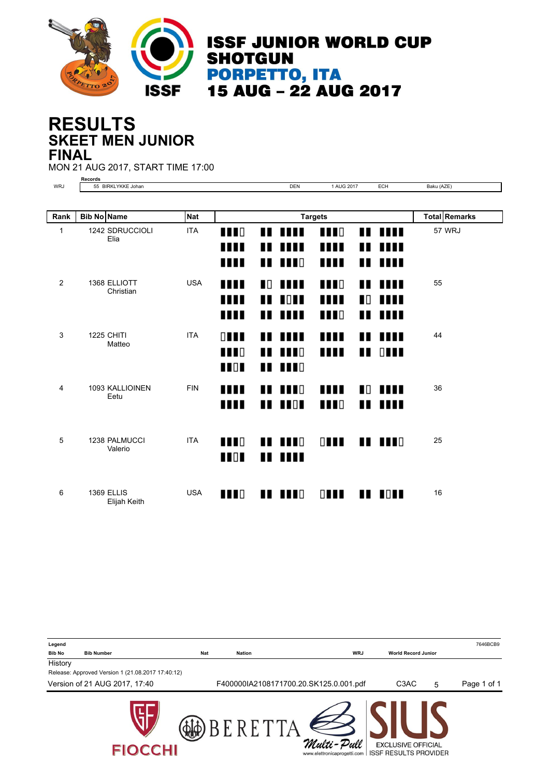

**ISSF JUNIOR WORLD CUP SHOTGUN PORPETTO, ITA<br>15 AUG - 22 AUG 2017** 

#### **SKEET MEN JUNIOR RESULTS FINAL**

MON 21 AUG 2017, START TIME 17:00

|     | cords                                                    |     |                          |         |   |
|-----|----------------------------------------------------------|-----|--------------------------|---------|---|
| WRJ | 11777<br><b>DIE</b><br>BIRKLYKKE Johan<br>. .<br>$\cdot$ | DEN | - - -<br>$\mathbf{A}$ ii | --<br>◡ | . |

| Rank | <b>Bib No Name</b> |                                   | <b>Nat</b> |                                            |         |                                                    | <b>Targets</b>                 |                     |                           |    | <b>Total Remarks</b> |
|------|--------------------|-----------------------------------|------------|--------------------------------------------|---------|----------------------------------------------------|--------------------------------|---------------------|---------------------------|----|----------------------|
| 1    |                    | 1242 SDRUCCIOLI<br>Elia           | <b>ITA</b> | $\blacksquare$                             | ∎       | .                                                  | <b>TTT</b> O                   | Ш                   | <b>THE</b>                |    | 57 WRJ               |
|      |                    |                                   |            | <b>THE</b><br><b>TITL</b>                  | ∎∎<br>Ш | .<br><b>THE</b>                                    | Ш<br>III                       | ∎<br>Ш              | ,,,,,<br>m                |    |                      |
| 2    |                    | 1368 ELLIOTT<br>Christian         | <b>USA</b> | m                                          |         | <b>TO THE</b>                                      | $\blacksquare$                 |                     | 11 MH                     | 55 |                      |
|      |                    |                                   |            | Ш<br><b>TITL</b>                           | Ш<br>Ш  | $\blacksquare$<br>m                                | Ш<br>$\blacksquare$            | ∎⊡<br>Ш             | HH<br>Ш                   |    |                      |
| 3    |                    | <b>1225 CHITI</b><br>Matteo       | <b>ITA</b> | $\Box$<br>$\blacksquare$<br>$\blacksquare$ |         | <b>11 1111</b><br>$\blacksquare$<br>$\blacksquare$ | Ш<br>Ш                         |                     | 11 1111<br>$\blacksquare$ | 44 |                      |
| 4    |                    | 1093 KALLIOINEN<br>Eetu           | <b>FIN</b> | Ш<br>Ш                                     | ∎<br>Ш  | <b>THEFT</b><br>$\blacksquare$                     | $\blacksquare$<br><b>TTT</b> O | $\blacksquare$<br>Ш | IIII<br>m                 | 36 |                      |
| 5    |                    | 1238 PALMUCCI<br>Valerio          | <b>ITA</b> | $\blacksquare$<br>$\blacksquare$           |         | $\blacksquare$<br><u> 11. 1111 - 11</u>            | $\Box$                         |                     | $\blacksquare$            | 25 |                      |
| 6    |                    | <b>1369 ELLIS</b><br>Elijah Keith | <b>USA</b> | $\blacksquare$                             |         | $\blacksquare$                                     | $\Box$                         |                     | $\blacksquare$            | 16 |                      |

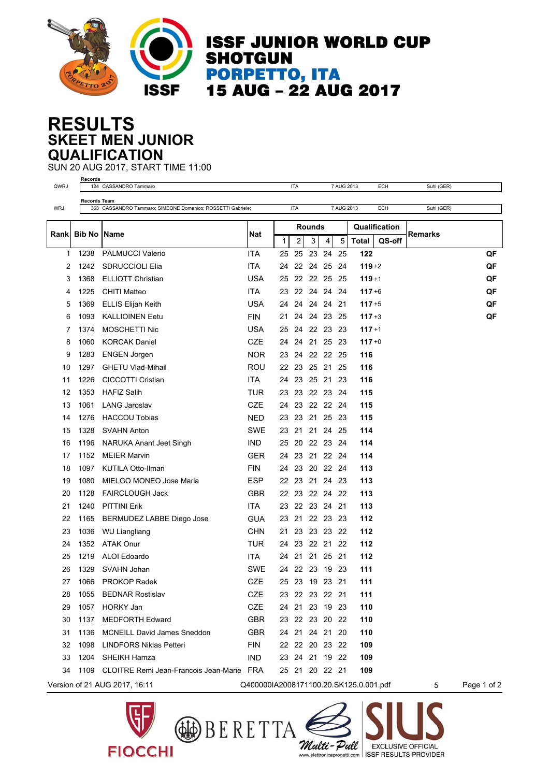

**ISSF JUNIOR WORLD CUP SHOTGUN PORPETTO, ITA<br>15 AUG - 22 AUG 2017** 

#### **SKEET MEN JUNIOR RESULTS QUALIFICATION**

SUN 20 AUG 2017, START TIME 11:00

| QWRJ       | Records             | 124 CASSANDRO Tammaro                                       |                                        |              | <b>ITA</b>     |               |             | 7 AUG 2013 |              | <b>ECH</b>    | Suhl (GER) |             |
|------------|---------------------|-------------------------------------------------------------|----------------------------------------|--------------|----------------|---------------|-------------|------------|--------------|---------------|------------|-------------|
|            | Records Team        |                                                             |                                        |              |                |               |             |            |              |               |            |             |
| <b>WRJ</b> |                     | 363 CASSANDRO Tammaro; SIMEONE Domenico; ROSSETTI Gabriele; |                                        |              | <b>ITA</b>     |               |             | 7 AUG 2013 |              | ECH           | Suhl (GER) |             |
|            |                     |                                                             |                                        |              |                | <b>Rounds</b> |             |            |              | Qualification |            |             |
| Rank       | <b>Bib No IName</b> |                                                             | <b>Nat</b>                             | $\mathbf{1}$ | 2              | 3             | 4           | 5          | <b>Total</b> | QS-off        | Remarks    |             |
| 1          | 1238                | <b>PALMUCCI Valerio</b>                                     | <b>ITA</b>                             | 25           | 25             | 23            | -24         | 25         | 122          |               |            | QF          |
| 2          | 1242                | SDRUCCIOLI Elia                                             | <b>ITA</b>                             | 24           | 22             | 24 25         |             | 24         | $119 + 2$    |               |            | QF          |
| 3          | 1368                | <b>ELLIOTT Christian</b>                                    | <b>USA</b>                             | 25           |                |               | 22 22 25 25 |            | $119 + 1$    |               |            | QF          |
| 4          | 1225                | <b>CHITI Matteo</b>                                         | <b>ITA</b>                             | 23           | 22             |               | 24 24 24    |            | $117 + 6$    |               |            | QF          |
| 5          | 1369                | <b>ELLIS Elijah Keith</b>                                   | <b>USA</b>                             | 24           | 24             |               | 24 24 21    |            | $117 + 5$    |               |            | QF          |
| 6          | 1093                | <b>KALLIOINEN Eetu</b>                                      | <b>FIN</b>                             | 21           | 24             |               | 24 23 25    |            | $117 + 3$    |               |            | QF          |
| 7          | 1374                | MOSCHETTI Nic                                               | <b>USA</b>                             | 25           |                |               | 24 22 23 23 |            | $117 + 1$    |               |            |             |
| 8          | 1060                | <b>KORCAK Daniel</b>                                        | <b>CZE</b>                             | 24           | 24             | 21 25         |             | -23        | $117 + 0$    |               |            |             |
| 9          | 1283                | <b>ENGEN Jorgen</b>                                         | <b>NOR</b>                             | 23           | 24             |               | 22 22 25    |            | 116          |               |            |             |
| 10         | 1297                | <b>GHETU Vlad-Mihail</b>                                    | <b>ROU</b>                             |              | 22 23 25 21 25 |               |             |            | 116          |               |            |             |
| 11         | 1226                | CICCOTTI Cristian                                           | <b>ITA</b>                             | 24           | 23             |               | 25 21       | -23        | 116          |               |            |             |
| 12         | 1353                | <b>HAFIZ Salih</b>                                          | TUR                                    | 23           | 23             |               | 22 23 24    |            | 115          |               |            |             |
| 13         | 1061                | <b>LANG Jaroslav</b>                                        | <b>CZE</b>                             | 24           | 23             |               | 22 22 24    |            | 115          |               |            |             |
| 14         | 1276                | <b>HACCOU Tobias</b>                                        | <b>NED</b>                             |              | 23 23 21 25 23 |               |             |            | 115          |               |            |             |
| 15         | 1328                | <b>SVAHN Anton</b>                                          | <b>SWE</b>                             | 23           | 21             | 21            | 24          | 25         | 114          |               |            |             |
| 16         | 1196                | NARUKA Anant Jeet Singh                                     | <b>IND</b>                             | 25           | 20             |               | 22 23 24    |            | 114          |               |            |             |
| 17         | 1152                | <b>MEIER Marvin</b>                                         | <b>GER</b>                             | 24           | 23             |               | 21 22 24    |            | 114          |               |            |             |
| 18         | 1097                | KUTILA Otto-Ilmari                                          | <b>FIN</b>                             | 24           | 23             |               | 20 22 24    |            | 113          |               |            |             |
| 19         | 1080                | MIELGO MONEO Jose Maria                                     | <b>ESP</b>                             | 22           | 23             |               | 21 24 23    |            | 113          |               |            |             |
| 20         | 1128                | <b>FAIRCLOUGH Jack</b>                                      | <b>GBR</b>                             |              | 22 23          |               | 22 24 22    |            | 113          |               |            |             |
| 21         | 1240                | <b>PITTINI Erik</b>                                         | <b>ITA</b>                             | 23           |                |               | 22 23 24 21 |            | 113          |               |            |             |
| 22         | 1165                | BERMUDEZ LABBE Diego Jose                                   | <b>GUA</b>                             | 23           | 21             |               | 22 23       | -23        | 112          |               |            |             |
| 23         | 1036                | <b>WU Liangliang</b>                                        | <b>CHN</b>                             | 21           | 23             |               | 23 23 22    |            | 112          |               |            |             |
| 24         | 1352                | <b>ATAK Onur</b>                                            | <b>TUR</b>                             | 24           | 23             |               | 22 21 22    |            | 112          |               |            |             |
| 25         | 1219                | ALOI Edoardo                                                | <b>ITA</b>                             | 24           | 21             |               | 21 25 21    |            | 112          |               |            |             |
| 26         | 1329                | SVAHN Johan                                                 | <b>SWE</b>                             | 24           | 22             |               | 23 19 23    |            | 111          |               |            |             |
| 27         | 1066                | <b>PROKOP Radek</b>                                         | <b>CZE</b>                             |              | 25 23 19 23 21 |               |             |            | 111          |               |            |             |
| 28         | 1055                | <b>BEDNAR Rostislav</b>                                     | CZE                                    |              | 23 22 23 22 21 |               |             |            | 111          |               |            |             |
| 29         | 1057                | <b>HORKY Jan</b>                                            | <b>CZE</b>                             | 24           | 21             |               | 23 19 23    |            | 110          |               |            |             |
| 30         | 1137                | <b>MEDFORTH Edward</b>                                      | <b>GBR</b>                             |              | 23 22 23 20 22 |               |             |            | 110          |               |            |             |
| 31         | 1136                | <b>MCNEILL David James Sneddon</b>                          | <b>GBR</b>                             |              | 24 21 24 21 20 |               |             |            | 110          |               |            |             |
| 32         | 1098                | <b>LINDFORS Niklas Petteri</b>                              | <b>FIN</b>                             |              | 22 22 20 23 22 |               |             |            | 109          |               |            |             |
| 33         |                     | 1204 SHEIKH Hamza                                           | <b>IND</b>                             |              | 23 24 21 19 22 |               |             |            | 109          |               |            |             |
| 34         |                     | 1109 CLOITRE Remi Jean-Francois Jean-Marie FRA              |                                        |              | 25 21 20 22 21 |               |             |            | 109          |               |            |             |
|            |                     | Version of 21 AUG 2017, 16:11                               | Q400000IA2008171100.20.SK125.0.001.pdf |              |                |               |             |            |              |               | 5          | Page 1 of 2 |

**BERETTA** 

**FIOCCHI** 

Multi-Pull

**EXCLUSIVE OFFICIAL** 

www.elettronicaprogetti.com | ISSF RESULTS PROVIDER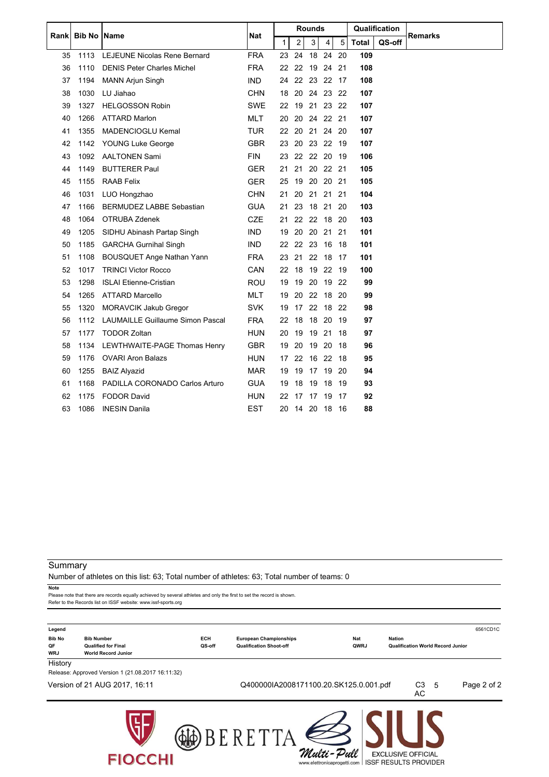| <b>Bib No Name</b><br>Rankl |      |                                         |            |         | <b>Rounds</b>  |          |                | Qualification |              |        |                |
|-----------------------------|------|-----------------------------------------|------------|---------|----------------|----------|----------------|---------------|--------------|--------|----------------|
|                             |      |                                         | Nat        | 1       | $\overline{c}$ | 3        | $\overline{4}$ | 5             | <b>Total</b> | QS-off | <b>Remarks</b> |
| 35                          | 1113 | <b>LEJEUNE Nicolas Rene Bernard</b>     | <b>FRA</b> | 23      | 24             | 18       | 24             | 20            | 109          |        |                |
| 36                          | 1110 | <b>DENIS Peter Charles Michel</b>       | <b>FRA</b> | 22      | 22             |          | 19 24 21       |               | 108          |        |                |
| 37                          | 1194 | <b>MANN Arjun Singh</b>                 | <b>IND</b> | 24      |                |          | 22 23 22 17    |               | 108          |        |                |
| 38                          | 1030 | LU Jiahao                               | <b>CHN</b> | 18      | 20             |          | 24 23 22       |               | 107          |        |                |
| 39                          | 1327 | <b>HELGOSSON Robin</b>                  | <b>SWE</b> |         |                |          | 22 19 21 23 22 |               | 107          |        |                |
| 40                          | 1266 | <b>ATTARD Marlon</b>                    | <b>MLT</b> | 20      | 20             |          | 24 22 21       |               | 107          |        |                |
| 41                          | 1355 | MADENCIOGLU Kemal                       | <b>TUR</b> | $22 \,$ | 20             |          | 21 24 20       |               | 107          |        |                |
| 42                          | 1142 | <b>YOUNG Luke George</b>                | <b>GBR</b> | 23      |                |          | 20 23 22 19    |               | 107          |        |                |
| 43                          | 1092 | <b>AALTONEN Sami</b>                    | <b>FIN</b> | 23      | 22             | 22 20    |                | -19           | 106          |        |                |
| 44                          | 1149 | <b>BUTTERER Paul</b>                    | <b>GER</b> | 21      | 21             |          | 20 22 21       |               | 105          |        |                |
| 45                          | 1155 | <b>RAAB Felix</b>                       | <b>GER</b> | 25      | 19             | 20 20    |                | -21           | 105          |        |                |
| 46                          | 1031 | LUO Hongzhao                            | <b>CHN</b> | 21      | 20             | 21 21    |                | 21            | 104          |        |                |
| 47                          | 1166 | BERMUDEZ LABBE Sebastian                | <b>GUA</b> | 21      | 23             |          | 18 21          | 20            | 103          |        |                |
| 48                          | 1064 | OTRUBA Zdenek                           | <b>CZE</b> | 21      |                | 22 22 18 |                | - 20          | 103          |        |                |
| 49                          | 1205 | SIDHU Abinash Partap Singh              | <b>IND</b> |         |                |          | 19 20 20 21 21 |               | 101          |        |                |
| 50                          | 1185 | <b>GARCHA Gurnihal Singh</b>            | <b>IND</b> | 22      | 22             | 23 16    |                | - 18          | 101          |        |                |
| 51                          | 1108 | <b>BOUSQUET Ange Nathan Yann</b>        | <b>FRA</b> | 23      | 21             | 22 18    |                | -17           | 101          |        |                |
| 52                          | 1017 | <b>TRINCI Victor Rocco</b>              | CAN        | 22      | 18             | 19 22    |                | 19            | 100          |        |                |
| 53                          | 1298 | <b>ISLAI Etienne-Cristian</b>           | <b>ROU</b> | 19      | 19             | 20       | 19             | 22            | 99           |        |                |
| 54                          | 1265 | <b>ATTARD Marcello</b>                  | <b>MLT</b> | 19      |                |          | 20 22 18 20    |               | 99           |        |                |
| 55                          | 1320 | <b>MORAVCIK Jakub Gregor</b>            | <b>SVK</b> | 19      | 17             |          | 22 18 22       |               | 98           |        |                |
| 56                          | 1112 | <b>LAUMAILLE Guillaume Simon Pascal</b> | <b>FRA</b> | 22      | - 18           | 18 20    |                | -19           | 97           |        |                |
| 57                          | 1177 | <b>TODOR Zoltan</b>                     | <b>HUN</b> | 20      | 19             | 19       | 21             | 18            | 97           |        |                |
| 58                          | 1134 | LEWTHWAITE-PAGE Thomas Henry            | <b>GBR</b> | 19      | 20             | 19 20    |                | -18           | 96           |        |                |
| 59                          | 1176 | <b>OVARI Aron Balazs</b>                | <b>HUN</b> | 17      | 22             |          | 16 22          | -18           | 95           |        |                |
| 60                          | 1255 | <b>BAIZ Alyazid</b>                     | <b>MAR</b> | 19      | 19             | 17       | - 19           | -20           | 94           |        |                |
| 61                          | 1168 | PADILLA CORONADO Carlos Arturo          | <b>GUA</b> | 19      | 18             | 19       | -18            | -19           | 93           |        |                |
| 62                          | 1175 | <b>FODOR David</b>                      | <b>HUN</b> | 22      | 17             | 17       | -19            | -17           | 92           |        |                |
| 63                          | 1086 | <b>INESIN Danila</b>                    | <b>EST</b> |         | 20 14 20       |          | 18 16          |               | 88           |        |                |

#### **Summary**

Number of athletes on this list: 63; Total number of athletes: 63; Total number of teams: 0

**Note**

Please note that there are records equally achieved by several athletes and only the first to set the record is shown. Refer to the Records list on ISSF website: www.issf-sports.org

| Legend                |                                                          |        |                                        |                                           |                                                           |     | 6561CD1C    |
|-----------------------|----------------------------------------------------------|--------|----------------------------------------|-------------------------------------------|-----------------------------------------------------------|-----|-------------|
| <b>Bib No</b>         | <b>Bib Number</b>                                        | ECH    | <b>European Championships</b>          | Nat                                       | <b>Nation</b>                                             |     |             |
| QF                    | <b>Qualified for Final</b><br><b>World Record Junior</b> | QS-off | <b>Qualification Shoot-off</b>         | QWRJ                                      | <b>Qualification World Record Junior</b>                  |     |             |
| <b>WRJ</b><br>History |                                                          |        |                                        |                                           |                                                           |     |             |
|                       | Release: Approved Version 1 (21.08.2017 16:11:32)        |        |                                        |                                           |                                                           |     |             |
|                       | Version of 21 AUG 2017, 16:11                            |        | Q400000IA2008171100.20.SK125.0.001.pdf |                                           | C3<br>AC                                                  | - 5 | Page 2 of 2 |
|                       | <b>FIOCCHI</b>                                           |        |                                        | Multi-Pull<br>www.elettronicaprogetti.com | <b>EXCLUSIVE OFFICIAL</b><br><b>ISSF RESULTS PROVIDER</b> |     |             |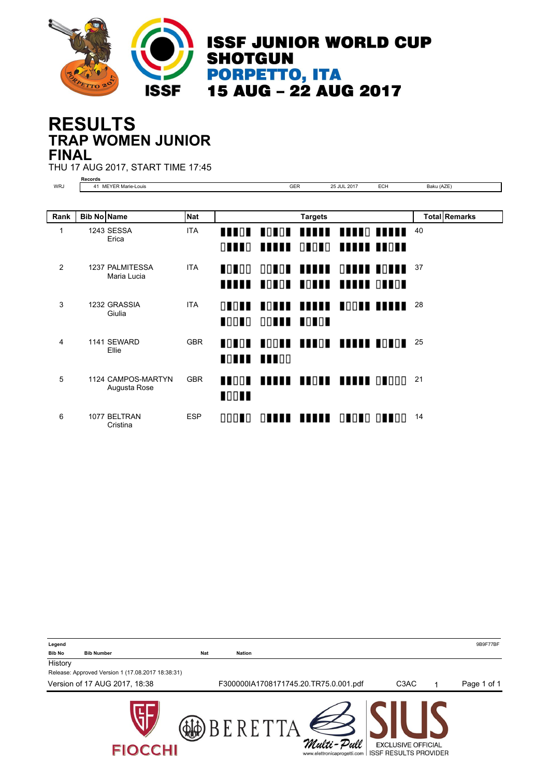

#### **TRAP WOMEN JUNIOR RESULTS FINAL**

THU 17 AUG 2017, START TIME 17:45

| $\sim$ |  |  |
|--------|--|--|

|             | Records               |               |           |              |   |
|-------------|-----------------------|---------------|-----------|--------------|---|
| WRJ<br>____ | Louis-<br><b>IVID</b> | $\sim$<br>UL. | 2017<br>. | $ \sim$<br>◡ | . |

| Rank | <b>Bib No Name</b> |                                    | <b>Nat</b> |                                      |                                | <b>Targets</b>                                  |                   |    | <b>Total Remarks</b> |
|------|--------------------|------------------------------------|------------|--------------------------------------|--------------------------------|-------------------------------------------------|-------------------|----|----------------------|
| 1    |                    | 1243 SESSA<br>Erica                | <b>ITA</b> | THE NEW<br>$\Box$ $\Box$ $\Box$      | <b>TITLE</b>                   | HOUGH HANNE HANNO HANNE                         | ONONO HUMUN HUONE | 40 |                      |
| 2    |                    | 1237 PALMITESSA<br>Maria Lucia     | <b>ITA</b> | HOL IOO<br>.                         |                                | OOTOT TIITI OTTII TOTTI<br>TOTOT TOTTE TELETROP |                   | 37 |                      |
| 3    |                    | 1232 GRASSIA<br>Giulia             | <b>ITA</b> | 0000<br>HOLLO <sub>1</sub>           | <b>OONIA HONOA</b>             | HOUNE BEREE BOOKE BEREE                         |                   | 28 |                      |
| 4    |                    | 1141 SEWARD<br>Ellie               | <b>GBR</b> | $\blacksquare$<br><b>TOTTE BEFOR</b> |                                | <b>ACOUR BRACH BRAND BOACH</b>                  |                   | 25 |                      |
| 5    |                    | 1124 CAMPOS-MARTYN<br>Augusta Rose | <b>GBR</b> | $\blacksquare$<br>$\blacksquare$     | <b>ARRIC BROKE BREEK ORDOO</b> |                                                 |                   | 21 |                      |
| 6    |                    | 1077 BELTRAN<br>Cristina           | <b>ESP</b> | 00010                                |                                | <b>OUUUU UUUUU OUOUO OUUOO</b>                  |                   | 14 |                      |

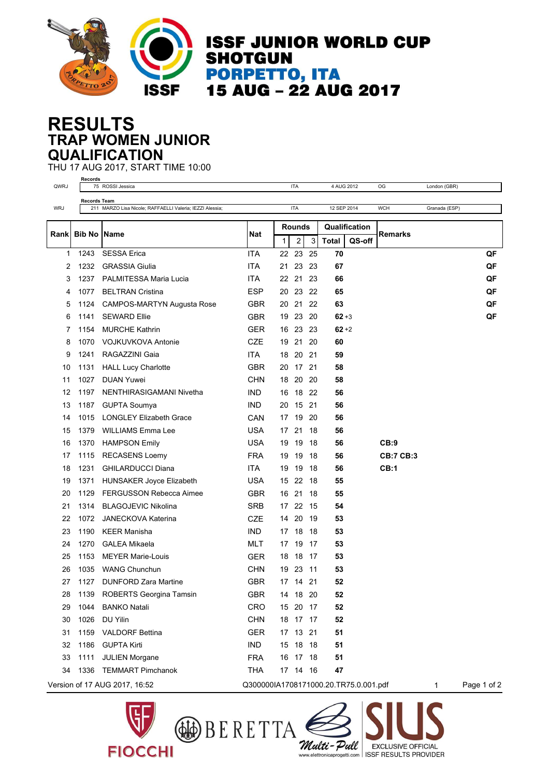

**ISSF JUNIOR WORLD CUP SHOTGUN PORPETTO, ITA** 15 AUG - 22 AUG 2017

#### **TRAP WOMEN JUNIOR RESULTS QUALIFICATION**

THU 17 AUG 2017, START TIME 10:00 **Records**

| QWRJ | neculus             | 75 ROSSI Jessica                                         |            |               | <b>ITA</b>     |       | 4 AUG 2012                            |        | OG               | London (GBR)  |             |
|------|---------------------|----------------------------------------------------------|------------|---------------|----------------|-------|---------------------------------------|--------|------------------|---------------|-------------|
|      | <b>Records Team</b> |                                                          |            |               |                |       |                                       |        |                  |               |             |
| WRJ  |                     | 211 MARZO Lisa Nicole; RAFFAELLI Valeria; IEZZI Alessia; |            |               | <b>ITA</b>     |       | 12 SEP 2014                           |        | <b>WCH</b>       | Granada (ESP) |             |
|      |                     |                                                          |            | <b>Rounds</b> |                |       | Qualification                         |        |                  |               |             |
| Rank | <b>Bib No</b>       | <b>Name</b>                                              | Nat        | 1             | $\overline{c}$ | 3     | <b>Total</b>                          | QS-off | <b>Remarks</b>   |               |             |
| 1    | 1243                | <b>SESSA Erica</b>                                       | <b>ITA</b> |               | 22 23          | 25    | 70                                    |        |                  |               | QF          |
| 2    | 1232                | <b>GRASSIA Giulia</b>                                    | <b>ITA</b> | 21            | 23             | 23    | 67                                    |        |                  |               | QF          |
| 3    | 1237                | PALMITESSA Maria Lucia                                   | <b>ITA</b> | 22            | 21             | 23    | 66                                    |        |                  |               | QF          |
| 4    | 1077                | <b>BELTRAN Cristina</b>                                  | <b>ESP</b> | 20            | 23 22          |       | 65                                    |        |                  |               | QF          |
| 5    | 1124                | CAMPOS-MARTYN Augusta Rose                               | <b>GBR</b> | 20            |                | 21 22 | 63                                    |        |                  |               | QF          |
| 6    | 1141                | <b>SEWARD Ellie</b>                                      | <b>GBR</b> | 19            | 23             | 20    | $62 + 3$                              |        |                  |               | QF          |
| 7    | 1154                | <b>MURCHE Kathrin</b>                                    | <b>GER</b> |               | 16 23 23       |       | $62 + 2$                              |        |                  |               |             |
| 8    | 1070                | <b>VOJKUVKOVA Antonie</b>                                | CZE        |               | 19 21 20       |       | 60                                    |        |                  |               |             |
| 9    | 1241                | RAGAZZINI Gaia                                           | ITA.       | 18            | 20 21          |       | 59                                    |        |                  |               |             |
| 10   | 1131                | <b>HALL Lucy Charlotte</b>                               | <b>GBR</b> | 20            | 17 21          |       | 58                                    |        |                  |               |             |
| 11   | 1027                | <b>DUAN Yuwei</b>                                        | CHN        | 18            | 20 20          |       | 58                                    |        |                  |               |             |
| 12   | 1197                | NENTHIRASIGAMANI Nivetha                                 | <b>IND</b> | 16            | 18 22          |       | 56                                    |        |                  |               |             |
| 13   | 1187                | <b>GUPTA Soumya</b>                                      | <b>IND</b> | 20            | 15 21          |       | 56                                    |        |                  |               |             |
| 14   | 1015                | <b>LONGLEY Elizabeth Grace</b>                           | CAN        | 17            | 19             | 20    | 56                                    |        |                  |               |             |
| 15   | 1379                | <b>WILLIAMS Emma Lee</b>                                 | <b>USA</b> | 17            | 21             | - 18  | 56                                    |        |                  |               |             |
| 16   | 1370                | <b>HAMPSON Emily</b>                                     | <b>USA</b> | 19            | 19             | 18    | 56                                    |        | CB:9             |               |             |
| 17   | 1115                | <b>RECASENS Loemy</b>                                    | <b>FRA</b> | 19            | 19             | -18   | 56                                    |        | <b>CB:7 CB:3</b> |               |             |
| 18   | 1231                | <b>GHILARDUCCI Diana</b>                                 | <b>ITA</b> | 19            | 19             | -18   | 56                                    |        | CB:1             |               |             |
| 19   | 1371                | <b>HUNSAKER Joyce Elizabeth</b>                          | <b>USA</b> |               | 15 22 18       |       | 55                                    |        |                  |               |             |
| 20   | 1129                | <b>FERGUSSON Rebecca Aimee</b>                           | <b>GBR</b> | 16            | 21             | 18    | 55                                    |        |                  |               |             |
| 21   | 1314                | <b>BLAGOJEVIC Nikolina</b>                               | <b>SRB</b> | 17            | 22             | - 15  | 54                                    |        |                  |               |             |
| 22   | 1072                | <b>JANECKOVA Katerina</b>                                | <b>CZE</b> | 14            | 20             | -19   | 53                                    |        |                  |               |             |
| 23   | 1190                | <b>KEER Manisha</b>                                      | IND.       | 17            | 18             | -18   | 53                                    |        |                  |               |             |
| 24   | 1270                | <b>GALEA Mikaela</b>                                     | <b>MLT</b> | 17            | 19             | -17   | 53                                    |        |                  |               |             |
| 25   | 1153                | <b>MEYER Marie-Louis</b>                                 | <b>GER</b> | 18            | 18             | -17   | 53                                    |        |                  |               |             |
| 26   | 1035                | <b>WANG Chunchun</b>                                     | CHN        |               | 19 23          | -11   | 53                                    |        |                  |               |             |
| 27   | 1127                | <b>DUNFORD Zara Martine</b>                              | <b>GBR</b> |               | 17  14  21     |       | 52                                    |        |                  |               |             |
| 28   |                     | 1139 ROBERTS Georgina Tamsin                             | <b>GBR</b> | 14            | 18 20          |       | 52                                    |        |                  |               |             |
| 29   | 1044                | <b>BANKO Natali</b>                                      | CRO        |               | 15 20 17       |       | 52                                    |        |                  |               |             |
| 30   | 1026                | DU Yilin                                                 | <b>CHN</b> |               | 18 17 17       |       | 52                                    |        |                  |               |             |
| 31   | 1159                | <b>VALDORF Bettina</b>                                   | <b>GER</b> |               | 17 13          | 21    | 51                                    |        |                  |               |             |
| 32   | 1186                | <b>GUPTA Kirti</b>                                       | IND        |               | 15 18 18       |       | 51                                    |        |                  |               |             |
| 33   | 1111                | <b>JULIEN Morgane</b>                                    | <b>FRA</b> |               | 16 17 18       |       | 51                                    |        |                  |               |             |
| 34   | 1336                | <b>TEMMART Pimchanok</b>                                 | <b>THA</b> |               | 17 14 16       |       | 47                                    |        |                  |               |             |
|      |                     | Version of 17 AUG 2017, 16:52                            |            |               |                |       | Q300000IA1708171000.20.TR75.0.001.pdf |        |                  | 1             | Page 1 of 2 |



**FIOCCHI** 

Multi-Pull

**EXCLUSIVE OFFICIAL** 

www.elettronicaprogetti.com | ISSF RESULTS PROVIDER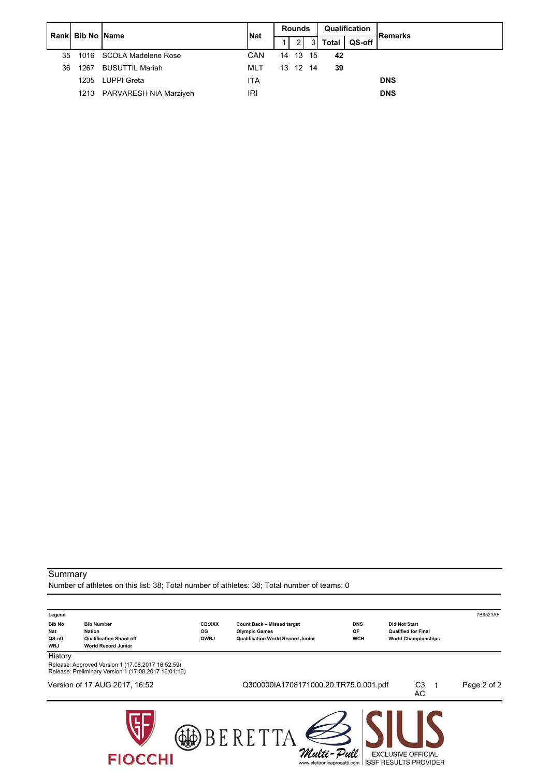|    | Rank Bib No Name |                             | <b>Nat</b> | <b>Rounds</b> |                |     |              | Qualification | <b>Remarks</b> |  |
|----|------------------|-----------------------------|------------|---------------|----------------|-----|--------------|---------------|----------------|--|
|    |                  |                             |            |               | $\overline{2}$ | 3 I | <b>Total</b> | QS-off        |                |  |
| 35 |                  | 1016 SCOLA Madelene Rose    | <b>CAN</b> |               | 14 13 15       |     | 42           |               |                |  |
| 36 | 1267             | BUSUTTIL Mariah             | MLT        | 13 12 14      |                |     | 39           |               |                |  |
|    | 1235             | LUPPI Greta                 | <b>ITA</b> |               |                |     |              |               | <b>DNS</b>     |  |
|    |                  | 1213 PARVARESH NIA Marziyeh | IRI        |               |                |     |              |               | <b>DNS</b>     |  |

#### **Summary**

Number of athletes on this list: 38; Total number of athletes: 38; Total number of teams: 0

| Legend               |                                                                                                           |        |                                           |            |                                                           | 7B8521AF    |
|----------------------|-----------------------------------------------------------------------------------------------------------|--------|-------------------------------------------|------------|-----------------------------------------------------------|-------------|
| <b>Bib No</b>        | <b>Bib Number</b>                                                                                         | CB:XXX | <b>Count Back - Missed target</b>         | <b>DNS</b> | <b>Did Not Start</b>                                      |             |
| Nat                  | <b>Nation</b>                                                                                             | OG     | <b>Olympic Games</b>                      | QF         | <b>Qualified for Final</b>                                |             |
| QS-off<br><b>WRJ</b> | <b>Qualification Shoot-off</b><br><b>World Record Junior</b>                                              | QWRJ   | <b>Qualification World Record Junior</b>  | <b>WCH</b> | <b>World Championships</b>                                |             |
| History              |                                                                                                           |        |                                           |            |                                                           |             |
|                      | Release: Approved Version 1 (17.08.2017 16:52:59)<br>Release: Preliminary Version 1 (17.08.2017 16:01:16) |        |                                           |            |                                                           |             |
|                      | Version of 17 AUG 2017, 16:52                                                                             |        | Q300000IA1708171000.20.TR75.0.001.pdf     |            | C <sub>3</sub><br>AC                                      | Page 2 of 2 |
|                      |                                                                                                           |        | F R F'                                    |            |                                                           |             |
|                      | <b>FIOCCHI</b>                                                                                            |        | Multi-Pull<br>www.elettronicaprogetti.com |            | <b>EXCLUSIVE OFFICIAL</b><br><b>ISSF RESULTS PROVIDER</b> |             |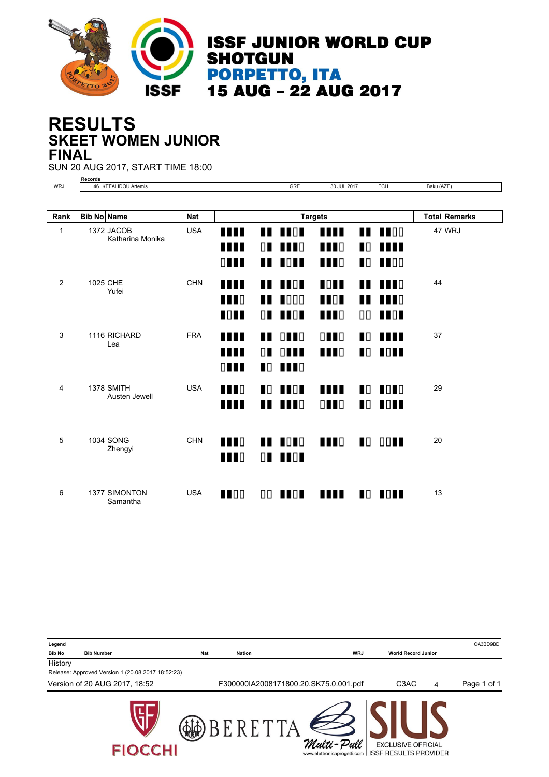

#### **SKEET WOMEN JUNIOR RESULTS FINAL**

SUN 20 AUG 2017, START TIME 18:00

**Records** WRJ 46 KEFALIDOU Artemis GRE 30 JUL 2017 ECH Baku (AZE)

| Rank | <b>Bib No Name</b>                 | <b>Nat</b> |                |                |                 | <b>Targets</b> |                |                | <b>Total Remarks</b> |
|------|------------------------------------|------------|----------------|----------------|-----------------|----------------|----------------|----------------|----------------------|
| 1    | 1372 JACOB<br>Katharina Monika     | <b>USA</b> | <b>THE</b>     |                | <b>THE REAL</b> | m              |                | $\blacksquare$ | 47 WRJ               |
|      |                                    |            | Ш              | $\Box$         | $\blacksquare$  | <b>TTT</b> D   | $\blacksquare$ | <b>AND</b>     |                      |
|      |                                    |            | $\Box$         |                | <b>THE ROLL</b> | $\blacksquare$ |                | $\blacksquare$ |                      |
| 2    | 1025 CHE<br>Yufei                  | <b>CHN</b> | m              | ∎              | <b>TTOT</b>     | <b>TOTT</b>    |                | <b>TTT</b> D   | 44                   |
|      |                                    |            | <b>TTT</b> D   | ш              | $\blacksquare$  | $\blacksquare$ | ∎              | $\blacksquare$ |                      |
|      |                                    |            | $\blacksquare$ | $\Box$         | $\blacksquare$  | $\blacksquare$ | 00             | <b>THEFT</b>   |                      |
| 3    | 1116 RICHARD<br>Lea                | <b>FRA</b> | <b>THE</b>     | . .            | $\Box$          | $\Box$         |                | <b>TO THE</b>  | 37                   |
|      |                                    |            | ш              | $\Box$         | $\Box$          | <b>TTT</b> D   | $\blacksquare$ | <b>IOH</b>     |                      |
|      |                                    |            | $\Box$         |                | <b>NO MUNIC</b> |                |                |                |                      |
| 4    | <b>1378 SMITH</b><br>Austen Jewell | <b>USA</b> | <b>THE</b>     | $\blacksquare$ | $\blacksquare$  | m              |                | $\blacksquare$ | 29                   |
|      |                                    |            | <b>THE</b>     |                | $\blacksquare$  | $\Box$         | $\blacksquare$ | $\blacksquare$ |                      |
|      |                                    |            |                |                |                 |                |                |                |                      |
| 5    | <b>1034 SONG</b><br>Zhengyi        | <b>CHN</b> | <b>TTT</b>     |                | $\blacksquare$  | <b>THE</b>     | $\blacksquare$ | $\Box$         | 20                   |
|      |                                    |            | $\blacksquare$ | $\Box$         | <b>TOT</b>      |                |                |                |                      |
|      |                                    |            |                |                |                 |                |                |                |                      |
| 6    | <b>1377 SIMONTON</b><br>Samantha   | <b>USA</b> | $\blacksquare$ |                | OO <b>INDI</b>  | Ш              |                | <b>NO HOME</b> | 13                   |

**Legend** CA3BD9BD **Bib No Bib Number Nat Nation WRJ World Record Junior History** Release: Approved Version 1 (20.08.2017 18:52:23) Version of 20 AUG 2017, 18:52 F300000IA2008171800.20.SK75.0.001.pdf C3AC 4 Page 1 of 1**AD** BERETTA Multi-Pull **EXCLUSIVE OFFICIAL FIOCCHI** www.elettronicaprogetti.com | ISSF RESULTS PROVIDER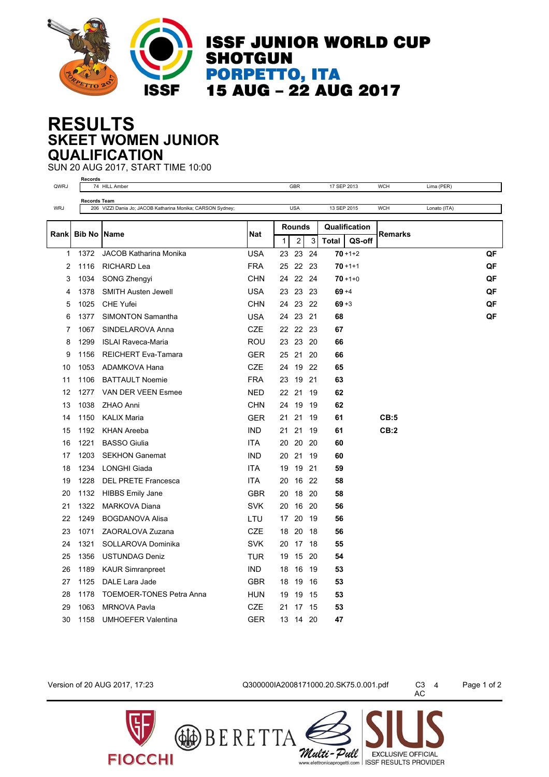

**ISSF JUNIOR WORLD CUP SHOTGUN PORPETTO, ITA<br>15 AUG – 22 AUG 2017** 

#### **SKEET WOMEN JUNIOR RESULTS QUALIFICATION**

SUN 20 AUG 2017, START TIME 10:00

|                | <b>Records</b>                                                           |                                 |            |    |                |       |              |               |                |              |    |
|----------------|--------------------------------------------------------------------------|---------------------------------|------------|----|----------------|-------|--------------|---------------|----------------|--------------|----|
| QWRJ           |                                                                          | 74 HILL Amber                   |            |    | <b>GBR</b>     |       | 17 SEP 2013  |               | <b>WCH</b>     | Lima (PER)   |    |
|                | <b>Records Team</b>                                                      |                                 |            |    |                |       |              |               |                |              |    |
|                | <b>WRJ</b><br>206 VIZZI Dania Jo; JACOB Katharina Monika; CARSON Sydney; |                                 |            |    | <b>USA</b>     |       | 13 SEP 2015  |               | <b>WCH</b>     | Lonato (ITA) |    |
|                |                                                                          |                                 |            |    | <b>Rounds</b>  |       |              | Qualification |                |              |    |
| Rankl          | <b>Bib No IName</b>                                                      |                                 | Nat        | 1  | $\overline{2}$ | 3     | <b>Total</b> | QS-off        | <b>Remarks</b> |              |    |
| 1              | 1372                                                                     | JACOB Katharina Monika          | <b>USA</b> | 23 | 23             | 24    |              | $70 + 1 + 2$  |                |              | QF |
| $\overline{2}$ | 1116                                                                     | RICHARD Lea                     | <b>FRA</b> | 25 |                | 22 23 |              | $70 + 1 + 1$  |                |              | QF |
| 3              | 1034                                                                     | SONG Zhengyi                    | <b>CHN</b> | 24 | 22 24          |       |              | $70 + 1 + 0$  |                |              | QF |
| 4              | 1378                                                                     | <b>SMITH Austen Jewell</b>      | <b>USA</b> | 23 |                | 23 23 | $69 + 4$     |               |                |              | QF |
| 5              | 1025                                                                     | <b>CHE Yufei</b>                | <b>CHN</b> | 24 |                | 23 22 | $69 + 3$     |               |                |              | QF |
| 6              | 1377                                                                     | <b>SIMONTON Samantha</b>        | USA        | 24 | 23 21          |       | 68           |               |                |              | QF |
| 7              | 1067                                                                     | SINDELAROVA Anna                | CZE        | 22 |                | 22 23 | 67           |               |                |              |    |
| 8              | 1299                                                                     | <b>ISLAI Raveca-Maria</b>       | ROU        | 23 | 23             | 20    | 66           |               |                |              |    |
| 9              | 1156                                                                     | <b>REICHERT Eva-Tamara</b>      | GER        | 25 | 21             | 20    | 66           |               |                |              |    |
| 10             | 1053                                                                     | ADAMKOVA Hana                   | <b>CZE</b> | 24 | 19             | 22    | 65           |               |                |              |    |
| 11             | 1106                                                                     | <b>BATTAULT Noemie</b>          | <b>FRA</b> | 23 | 19             | 21    | 63           |               |                |              |    |
| 12             | 1277                                                                     | VAN DER VEEN Esmee              | <b>NED</b> | 22 | 21             | 19    | 62           |               |                |              |    |
| 13             | 1038                                                                     | <b>ZHAO Anni</b>                | <b>CHN</b> | 24 | 19             | 19    | 62           |               |                |              |    |
| 14             | 1150                                                                     | <b>KALIX Maria</b>              | <b>GER</b> | 21 | 21             | 19    | 61           |               | CB:5           |              |    |
| 15             | 1192                                                                     | <b>KHAN Areeba</b>              | <b>IND</b> | 21 | 21             | 19    | 61           |               | CB:2           |              |    |
| 16             | 1221                                                                     | <b>BASSO Giulia</b>             | <b>ITA</b> | 20 | 20             | 20    | 60           |               |                |              |    |
| 17             | 1203                                                                     | <b>SEKHON Ganemat</b>           | <b>IND</b> | 20 | 21             | 19    | 60           |               |                |              |    |
| 18             | 1234                                                                     | <b>LONGHI Giada</b>             | <b>ITA</b> | 19 | 19             | 21    | 59           |               |                |              |    |
| 19             | 1228                                                                     | <b>DEL PRETE Francesca</b>      | <b>ITA</b> | 20 | 16             | -22   | 58           |               |                |              |    |
| 20             | 1132                                                                     | <b>HIBBS Emily Jane</b>         | <b>GBR</b> | 20 | 18             | -20   | 58           |               |                |              |    |
| 21             | 1322                                                                     | <b>MARKOVA Diana</b>            | <b>SVK</b> | 20 | 16             | 20    | 56           |               |                |              |    |
| 22             | 1249                                                                     | <b>BOGDANOVA Alisa</b>          | LTU        | 17 | 20             | 19    | 56           |               |                |              |    |
| 23             | 1071                                                                     | ZAORALOVA Zuzana                | <b>CZE</b> | 18 | 20             | 18    | 56           |               |                |              |    |
| 24             | 1321                                                                     | SOLLAROVA Dominika              | <b>SVK</b> | 20 |                | 17 18 | 55           |               |                |              |    |
| 25             | 1356                                                                     | <b>USTUNDAG Deniz</b>           | TUR        | 19 | 15             | 20    | 54           |               |                |              |    |
| 26             | 1189                                                                     | <b>KAUR Simranpreet</b>         | <b>IND</b> | 18 | 16             | 19    | 53           |               |                |              |    |
| 27             | 1125                                                                     | DALE Lara Jade                  | <b>GBR</b> | 18 | 19             | 16    | 53           |               |                |              |    |
| 28             | 1178                                                                     | <b>TOEMOER-TONES Petra Anna</b> | <b>HUN</b> | 19 | 19             | 15    | 53           |               |                |              |    |
| 29             | 1063                                                                     | <b>MRNOVA Pavla</b>             | CZE        | 21 | 17             | 15    | 53           |               |                |              |    |
| 30             | 1158                                                                     | <b>UMHOEFER Valentina</b>       | <b>GER</b> | 13 | 14 20          |       | 47           |               |                |              |    |

**FIOCCHI** 

Version of 20 AUG 2017, 17:23 Q300000IA2008171000.20.SK75.0.001.pdf C3 4 Page 1 of 2

Multi-Pull

**BERETTA** 

C3 4<br>AC

**EXCLUSIVE OFFICIAL** 

www.elettronicaprogetti.com | ISSF RESULTS PROVIDER